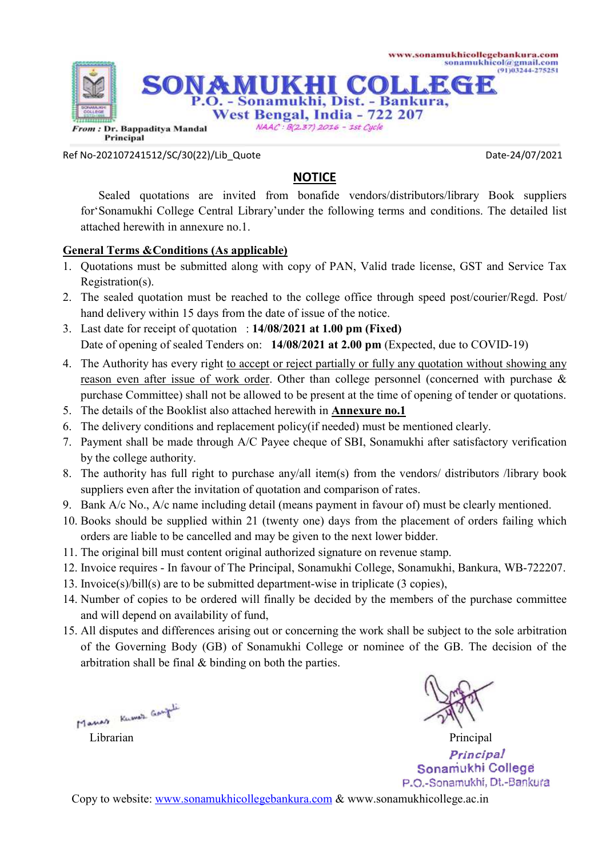

Ref No-202107241512/SC/30(22)/Lib\_Quote Date-24/07/2021

## **NOTICE**

 Sealed quotations are invited from bonafide vendors/distributors/library Book suppliers for'Sonamukhi College Central Library'under the following terms and conditions. The detailed list attached herewith in annexure no.1.

## **General Terms &Conditions (As applicable)**

- 1. Quotations must be submitted along with copy of PAN, Valid trade license, GST and Service Tax Registration(s).
- 2. The sealed quotation must be reached to the college office through speed post/courier/Regd. Post/ hand delivery within 15 days from the date of issue of the notice.
- 3. Last date for receipt of quotation : **14/08/2021 at 1.00 pm (Fixed)** Date of opening of sealed Tenders on: **14/08/2021 at 2.00 pm** (Expected, due to COVID-19)
- 4. The Authority has every right to accept or reject partially or fully any quotation without showing any reason even after issue of work order. Other than college personnel (concerned with purchase & purchase Committee) shall not be allowed to be present at the time of opening of tender or quotations.
- 5. The details of the Booklist also attached herewith in **Annexure no.1**
- 6. The delivery conditions and replacement policy(if needed) must be mentioned clearly.
- 7. Payment shall be made through A/C Payee cheque of SBI, Sonamukhi after satisfactory verification by the college authority.
- 8. The authority has full right to purchase any/all item(s) from the vendors/ distributors /library book suppliers even after the invitation of quotation and comparison of rates.
- 9. Bank A/c No., A/c name including detail (means payment in favour of) must be clearly mentioned.
- 10. Books should be supplied within 21 (twenty one) days from the placement of orders failing which orders are liable to be cancelled and may be given to the next lower bidder.
- 11. The original bill must content original authorized signature on revenue stamp.
- 12. Invoice requires In favour of The Principal, Sonamukhi College, Sonamukhi, Bankura, WB-722207.
- 13. Invoice(s)/bill(s) are to be submitted department-wise in triplicate (3 copies),
- 14. Number of copies to be ordered will finally be decided by the members of the purchase committee and will depend on availability of fund,
- 15. All disputes and differences arising out or concerning the work shall be subject to the sole arbitration of the Governing Body (GB) of Sonamukhi College or nominee of the GB. The decision of the arbitration shall be final & binding on both the parties.



Librarian Principal Principal Sonamukhi College P.O.-Sonamukhi, Dt.-Bankura

Copy to website: www.sonamukhicollegebankura.com & www.sonamukhicollege.ac.in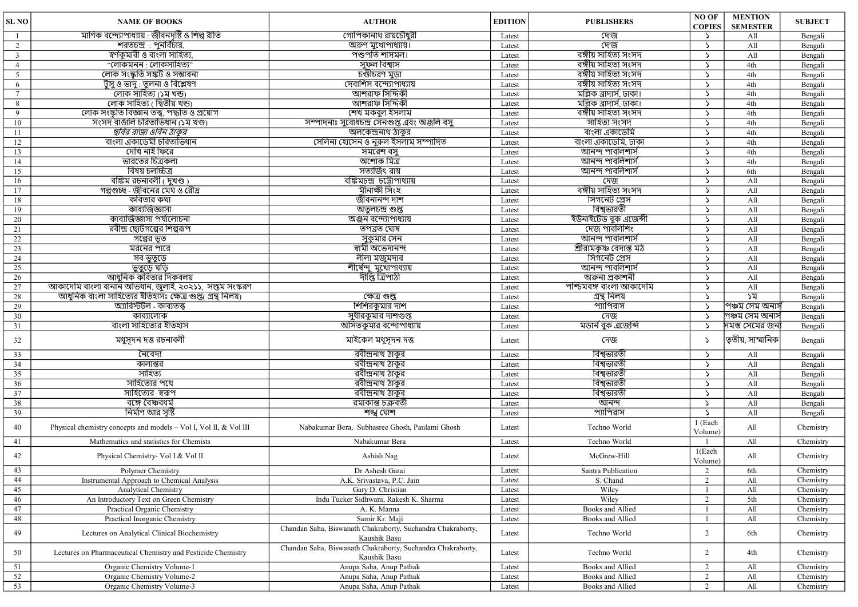| SL <sub>NO</sub> | <b>NAME OF BOOKS</b>                                              | <b>AUTHOR</b>                                                               | <b>EDITION</b> | <b>PUBLISHERS</b>                     | NO OF<br><b>COPIES</b>      | <b>MENTION</b><br><b>SEMESTER</b> | <b>SUBJECT</b> |
|------------------|-------------------------------------------------------------------|-----------------------------------------------------------------------------|----------------|---------------------------------------|-----------------------------|-----------------------------------|----------------|
|                  | মাণিক বন্দ্যোপাধ্যায় : জীবনদৃষ্টি ও শিল্প রীতি                   | গোপিকানাথ রায়চৌধুরী                                                        | Latest         | দেজ                                   | $\mathcal{L}$               | All                               | Bengali        |
| 2                | <u>শরতচন্দ্র : পু</u> নর্বিচার,                                   | অরুণ মুখোপাধ্যায়।                                                          | Latest         | দেজ                                   | $\mathcal{L}$               | All                               | Bengali        |
| $\overline{3}$   | স্বৰ্ণকুমারী ও বাংলা সাহিত্য,                                     | <u>পশুপতি শাসমল।</u>                                                        | Latest         | বঙ্গীয় সাহিত্য সংসদ                  | $\mathcal{L}$               | All                               | Bengali        |
| $\overline{4}$   | <u>"লোকমনন: লোকসাহিত্য"</u>                                       | সুফল বিশ্বাস                                                                | Latest         | বঙ্গীয় সাহিত্য সংসদ                  | $\mathcal{L}$               | 4th                               | Bengali        |
| 5                | লোক সংস্কৃতি সঙ্কট ও সম্ভাবনা                                     | চণ্ডীচরণ মুড়া                                                              | Latest         | বঙ্গীয় সাহিত্য সংসদ                  | $\mathcal{L}$               | 4th                               | Bengali        |
| 6                | টুসু ও ভাদু : তুলনা ও বিশ্লেষণ                                    | দেবাশিস বন্দ্যোপাধ্যায়                                                     | Latest         | বঙ্গীয় সাহিত্য সংসদ                  | $\mathcal{L}$               | 4th                               | Bengali        |
| $\overline{7}$   | লোক সাহিত্য (১ম খন্ড)                                             | আশরাফ সিদ্দিকী                                                              | Latest         | মল্লিক ব্ৰাদাৰ্স, ঢাকা।               | $\mathcal{L}$               | 4th                               | Bengali        |
| 8                | লোক সাহিত্য ( দ্বিতীয় খন্ড)                                      | আশরাফ সিদ্দিকী                                                              | Latest         | মল্লিক ব্ৰাদাৰ্স, ঢাকা।               | $\mathcal{L}$               | 4th                               | Bengali        |
| 9                | লোক সংস্কৃতি বিজ্ঞান তত্ত্ব, পদ্ধতি ও প্ৰয়োগ                     | শেখ মকবুল ইসলাম                                                             | Latest         | বঙ্গীয় সাহিত্য সংসদ                  | $\mathcal{L}$               | 4th                               | Bengali        |
| 10               | সংসদ বাঙালি চরিতাভিধান (১ম খণ্ড)                                  | সম্পাদনাঃ সুবোধচন্দ্ৰ সেনগুপ্ত এবং অঞ্জলি বসু                               | Latest         | সাহিত্য সংসদ                          | $\mathcal{L}$               | 4th                               | Bengali        |
| 11               | ছবির রাজা ওবিন ঠাকুর                                              | অলকেন্দ্ৰনাথ ঠাকুর                                                          | Latest         | বাংলা একাডেমি                         | $\mathcal{L}$               | 4th                               | Bengali        |
| 12               | বাংলা একাডেমী চরিতাভিধান                                          | সেলিনা হোসেন ও নুরুল ইসলাম সম্পাদিত                                         | Latest         | বাংলা একাডেমি, ঢাকা                   | $\mathcal{L}$               | 4th                               | Bengali        |
| 13               | দেখি নাই ফিরে                                                     | সমরেশ বসু                                                                   | Latest         | <u>আনন্দ পাবলিশাস</u>                 | $\mathcal{L}$               | 4th                               | Bengali        |
| 14               | ভারতের চিত্রকলা                                                   | অশোক মিত্ৰ                                                                  | Latest         | <u>আনন্দ পাবলিশাস</u>                 | $\mathcal{L}$               | 4th                               | Bengali        |
| 15               | বিষয় চলচ্চিত্ৰ                                                   | সত্যজিৎ রায়                                                                | Latest         | <u>আনন্দ পাবলিশাৰ্স</u>               | $\mathcal{L}$               | 6th                               | Bengali        |
| 16               | <u>বঙ্কিম রচনাবলী ( দুখণ্ড)</u>                                   | বঙ্কিমচন্দ্ৰ চট্টোপাধ্যায়                                                  | Latest         | দেজ                                   | $\mathcal{L}$               | All                               | Bengali        |
| 17               | গল্পগুচ্ছ - জীবনের মেঘ ও রৌদ্র                                    | মীনাক্ষী সিংহ                                                               | Latest         | বঙ্গীয় সাহিত্য সংসদ                  | $\mathcal{L}$               | All                               | Bengali        |
| 18               | কবিতার কথা                                                        | জীবনানন্দ দাশ                                                               | Latest         | সিগনেট প্ৰেস                          | $\mathcal{L}_{\mathcal{L}}$ | A11                               | Bengali        |
| 19               | কাব্যজিজ্ঞাসা                                                     | অতুলচন্দ্ৰ গুপ্ত                                                            | Latest         | বিশ্বভারতী                            | $\mathcal{L}$               | All                               | Bengali        |
| 20               | কাব্যজিজ্ঞাসা পর্যালোচনা                                          | অঞ্জন বন্দ্যোপাধ্যায়                                                       | Latest         | ইউনাইটেড বুক এজেন্সী                  | $\mathcal{L}$               | All                               | Bengali        |
| 21               | রবীন্দ্র ছোটগল্পের শিল্পরূপ                                       | তপব্ৰত ঘোষ                                                                  | Latest         | দেজ পাবলিশিং                          | $\mathcal{L}$               | All                               | Bengali        |
| 22               | গল্পের ভূত                                                        | সুকুমার সেন                                                                 | Latest         | আনন্দ পাবলিশার্স                      | $\mathcal{L}$               | All                               | Bengali        |
| 23               | মরনের পারে                                                        | স্বামী অভেদানন্দ                                                            |                | শ্ৰীরামকৃষ্ণ বেদান্ত মঠ               | $\mathcal{L}$               | All                               |                |
|                  |                                                                   |                                                                             | Latest         |                                       |                             |                                   | Bengali        |
| 24               | সব ভুতুড়ে                                                        | লীলা মজুমদার                                                                | Latest         | সিগনেট প্ৰেস<br><u>আনন্দ পাবলিশাস</u> | $\mathcal{L}$               | A11                               | Bengali        |
| 25               | <u>ভুতুড়ে ঘড়ি</u>                                               | শীৰ্ষেন্দু মুখোপাধ্যায়                                                     | Latest         |                                       | $\mathcal{L}_{\mathcal{L}}$ | All                               | Bengali        |
| 26               | আধুনিক কবিতার দিকবলয়                                             | দীপ্তি ত্রিপাঠী                                                             | Latest         | অৰুনা প্ৰকাশনী                        | $\mathcal{L}$               | All                               | Bengali        |
| 27               | আকাদেমি বাংলা বানান অভিধান, জুলাই, ২০২১১, সপ্তম সংস্করণ           |                                                                             | Latest         | পশ্চিমবঙ্গ বাংলা আকাদেমি              | $\mathcal{L}$               | All                               | Bengali        |
| 28               | আধুনিক বাংলা সাহিত্যের ইতিহাসঃ ক্ষেত্র গুপ্ত গ্রন্থ নিলয়)        | ক্ষেত্ৰ গুপ্ত                                                               | Latest         | গ্ৰন্থ নিলয়                          | $\mathcal{L}$               | <u>্য</u>                         | Bengali        |
| 29               | অ্যারিস্টটল - কাব্যতত্ত্ব                                         | শিশিরকুমার দাশ                                                              | Latest         | প্যাপিরাস                             | $\mathcal{L}$               | পিঞ্চম সেম অনাস                   | Bengali        |
| 30               | কাব্যালোক                                                         | সুধীরকুমার দাশগুপ্ত                                                         | Latest         | দেজ                                   | $\mathcal{L}$               | পঞ্চম সেম অনাস                    | Bengali        |
| 31               | বাংলা সাহিত্যের ইতিহাস                                            | অসিতকুমার বন্দোপাধ্যায়                                                     | Latest         | মডাৰ্ন বুক এজেন্সি                    | $\mathcal{L}$               | সমস্ত সেমের জন                    | Bengali        |
| 32               | মধুসূদন দত্ত রচনাবলী                                              | মাইকেল মধুসূদন দত্ত                                                         | Latest         | দেজ                                   | $\mathcal{L}$               | ত্তীয়, সাম্মানিক                 | Bengali        |
| 33               | নৈবেদ্য                                                           | রবীন্দ্রনাথ ঠাকুর                                                           | Latest         | বিশ্বভারতী                            | $\mathcal{L}$               | All                               | Bengali        |
| 34               | কালান্তর                                                          | ৱবীন্দ্ৰনাথ ঠাকুৱ                                                           | Latest         | বিশ্বভারতী                            | $\mathcal{L}$               | All                               | Bengali        |
| 35               | সাহিত্য                                                           | রবীন্দ্রনাথ ঠাকুর                                                           | Latest         | বিশ্বভারতী                            | $\mathcal{L}$               | All                               | Bengali        |
| 36               | সাহিত্যের পথে                                                     | ৱবীন্দ্ৰনাথ ঠাকুৱ                                                           | Latest         | বিশ্বভারতী                            | $\mathcal{L}$               | All                               | Bengali        |
| 37               | সাহিত্যের স্বরূপ                                                  | ৱবীন্দ্ৰনাথ ঠাকুৱ                                                           | Latest         | বিশ্বভারতী                            | $\mathcal{L}$               | All                               | Bengali        |
| 38               | বঙ্গে বৈষ্ণবধৰ্ম                                                  | <u>রমাকান্ত চক্রবর্তী</u>                                                   | Latest         | আনন্দ                                 | $\mathcal{L}$               | All                               | Bengali        |
| 39               | নিৰ্মাণ আর সৃষ্টি                                                 | শঙ্খ ঘোশ                                                                    | Latest         | প্যাপিরাস                             | $\mathcal{L}_{\mathcal{L}}$ | All                               | Bengali        |
| 40               | Physical chemistry concepts and models - Vol I, Vol II, & Vol III | Nabakumar Bera, Subhasree Ghosh, Paulami Ghosh                              | Latest         | Techno World                          | 1 (Each<br>Volume)          | All                               | Chemistry      |
| 41               | Mathematics and statistics for Chemists                           | Nabakumar Bera                                                              | Latest         | Techno World                          |                             | All                               | Chemistry      |
| 42               | Physical Chemistry- Vol I & Vol II                                | Ashish Nag                                                                  | Latest         | McGrew-Hill                           | $1$ (Each<br>Volume)        | All                               | Chemistry      |
| 43               | Polymer Chemistry                                                 | Dr Ashesh Garai                                                             | Latest         | Santra Publication                    | $\mathcal{L}$               | 6th                               | Chemistry      |
| 44               | Instrumental Approach to Chemical Analysis                        | A.K. Srivastava, P.C. Jain                                                  | Latest         | S. Chand                              | $\overline{2}$              | All                               | Chemistry      |
| 45               | Analytical Chemistry                                              | Gary D. Christian                                                           | Latest         | Wiley                                 | $\mathbf{1}$                | All                               | Chemistry      |
| 46               | An Introductory Text on Green Chemistry                           | Indu Tucker Sidhwani, Rakesh K. Sharma                                      | Latest         | Wiley                                 | $\overline{2}$              | 5th                               | Chemistry      |
| 47               | Practical Organic Chemistry                                       | A. K. Manna                                                                 | Latest         | Books and Allied                      | $\mathbf{1}$                | All                               | Chemistry      |
| 48               | Practical Inorganic Chemistry                                     | Samir Kr. Maji                                                              | Latest         | Books and Allied                      | 1                           | All                               | Chemistry      |
| 49               | Lectures on Analytical Clinical Biochemistry                      | Chandan Saha, Biswanath Chakraborty, Suchandra Chakraborty,<br>Kaushik Basu | Latest         | Techno World                          | $\overline{2}$              | 6th                               | Chemistry      |
| 50               | Lectures on Pharmaceutical Chemistry and Pesticide Chemistry      | Chandan Saha, Biswanath Chakraborty, Suchandra Chakraborty,<br>Kaushik Basu | Latest         | Techno World                          | $\overline{2}$              | 4th                               | Chemistry      |
| 51               | Organic Chemistry Volume-1                                        | Anupa Saha, Anup Pathak                                                     | Latest         | Books and Allied                      | 2                           | All                               | Chemistry      |
| 52               | Organic Chemistry Volume-2                                        | Anupa Saha, Anup Pathak                                                     | Latest         | Books and Allied                      | $\overline{2}$              | All                               | Chemistry      |
| 53               | Organic Chemistry Volume-3                                        | Anupa Saha, Anup Pathak                                                     | Latest         | Books and Allied                      | $\overline{2}$              | All                               | Chemistry      |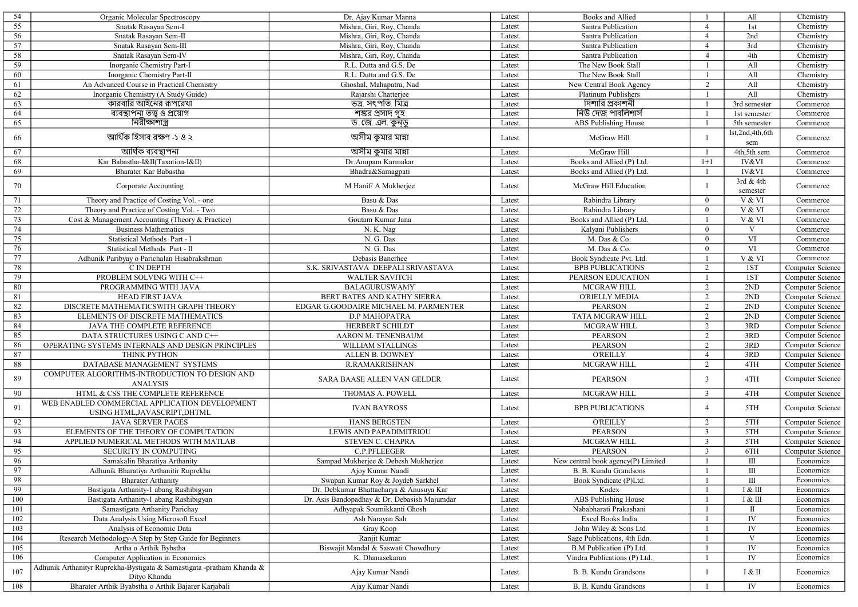| 54      | Organic Molecular Spectroscopy                                        | Dr. Ajay Kumar Manna                         | Latest | Books and Allied                   |                | All              | Chemistry        |
|---------|-----------------------------------------------------------------------|----------------------------------------------|--------|------------------------------------|----------------|------------------|------------------|
| 55      | Snatak Rasayan Sem-I                                                  | Mishra, Giri, Roy, Chanda                    | Latest | Santra Publication                 | $\overline{4}$ | 1st              | Chemistry        |
| 56      | Snatak Rasayan Sem-II                                                 | Mishra, Giri, Roy, Chanda                    | Latest | Santra Publication                 | $\overline{4}$ | 2nd              | Chemistry        |
| 57      | Snatak Rasayan Sem-III                                                | Mishra, Giri, Roy, Chanda                    | Latest | Santra Publication                 | $\overline{4}$ | 3rd              | Chemistry        |
| 58      | Snatak Rasayan Sem-IV                                                 | Mishra, Giri, Roy, Chanda                    | Latest | Santra Publication                 | $\overline{4}$ | 4th              | Chemistry        |
| 59      | Inorganic Chemistry Part-I                                            | R.L. Dutta and G.S. De                       | Latest | The New Book Stall                 |                | All              | Chemistry        |
| 60      | Inorganic Chemistry Part-II                                           | R.L. Dutta and G.S. De                       | Latest | The New Book Stall                 |                | All              | Chemistry        |
| 61      | An Advanced Course in Practical Chemistry                             | Ghoshal, Mahapatra, Nad                      | Latest | New Central Book Agency            | 2              | All              | Chemistry        |
| 62      | Inorganic Chemistry (A Study Guide)                                   | Rajarshi Chatterjee                          | Latest | Platinum Publishers                | -1             | All              | Chemistry        |
| 63      | কারবারি আইনের রূপরেখা                                                 | ভদ্র. সৎপতি. মিত্র                           | Latest | দিশারি প্রকাশনী                    | $\mathbf{1}$   | 3rd semester     | Commerce         |
| 64      | ব্যবস্থাপনা তত্ত্ব ও প্ৰয়োগ                                          | শঙ্কর প্রসাদ গৃহ                             | Latest | নিউ দেজ পাবলিশার্স                 | $\overline{1}$ | 1st semester     | Commerce         |
| 65      | নিরীক্ষাশাস্ত্র                                                       | ড. জে. এল. কুন্ডু                            | Latest | ABS Publishing House               |                | $5th$ semester   | Commerce         |
|         |                                                                       |                                              |        |                                    |                | Ist,2nd,4th,6th  |                  |
| 66      | আৰ্থিক হিসাব রক্ষণ -১ ও ২                                             | অসীম কুমার মান্না                            | Latest | McGraw Hill                        | $\overline{1}$ | sem              | Commerce         |
| 67      | <u> আৰ্থিক ব্যবস্থাপনা</u>                                            | অসীম কুমার মান্না                            | Latest | McGraw Hill                        | $\overline{1}$ | 4th,5th sem      | Commerce         |
| 68      | Kar Babastha-I&II(Taxation-I&II)                                      | Dr.Anupam Karmakar                           | Latest | Books and Allied (P) Ltd.          | $1+1$          | <b>IV&amp;VI</b> | Commerce         |
| 69      | Bharater Kar Babastha                                                 | Bhadra&Samagpati                             | Latest | Books and Allied (P) Ltd.          | -1             | IV&VI            | Commerce         |
|         |                                                                       |                                              |        |                                    |                | 3rd & 4th        |                  |
| 70      | Corporate Accounting                                                  | M Hanif/ A Mukherjee                         | Latest | McGraw Hill Education              | $\overline{1}$ | semester         | Commerce         |
| 71      | Theory and Practice of Costing Vol. - one                             | Basu & Das                                   | Latest | Rabindra Library                   | $\overline{0}$ | V & VI           | Commerce         |
|         | Theory and Practice of Costing Vol. - Two                             | Basu & Das                                   | Latest | Rabindra Library                   | $\overline{0}$ | V & VI           | Commerce         |
| 72      |                                                                       |                                              |        |                                    |                |                  |                  |
| 73      | Cost & Management Accounting (Theory & Practice)                      | Goutam Kumar Jana                            | Latest | Books and Allied (P) Ltd.          | $\overline{1}$ | V & VI           | Commerce         |
| 74      | <b>Business Mathematics</b>                                           | N. K. Nag                                    | Latest | Kalyani Publishers                 | $\overline{0}$ | V                | Commerce         |
| 75      | Statistical Methods Part - I                                          | N. G. Das                                    | Latest | M. Das & Co.                       | $\overline{0}$ | VI               | Commerce         |
| 76      | Statistical Methods Part - II                                         | N. G. Das                                    | Latest | M. Das & Co.                       | $\overline{0}$ | VI               | Commerce         |
| $77 \,$ | Adhunik Paribyay o Parichalan Hisabrakshman                           | Debasis Banerhee                             | Latest | Book Syndicate Pvt. Ltd.           |                | V & VI           | Commerce         |
| 78      | C IN DEPTH                                                            | S.K. SRIVASTAVA DEEPALI SRIVASTAVA           | Latest | <b>BPB PUBLICATIONS</b>            | 2              | 1ST              | Computer Science |
| 79      | PROBLEM SOLVING WITH C++                                              | <b>WALTER SAVITCH</b>                        | Latest | PEARSON EDUCATION                  | $\overline{1}$ | 1ST              | Computer Science |
| $80\,$  | PROGRAMMING WITH JAVA                                                 | <b>BALAGURUSWAMY</b>                         | Latest | <b>MCGRAW HILL</b>                 | 2              | 2ND              | Computer Science |
| 81      | <b>HEAD FIRST JAVA</b>                                                | BERT BATES AND KATHY SIERRA                  | Latest | <b>O'RIELLY MEDIA</b>              | 2              | 2ND              | Computer Science |
| 82      | DISCRETE MATHEMATICSWITH GRAPH THEORY                                 | EDGAR G.GOODAIRE MICHAEL M. PARMENTER        | Latest | <b>PEARSON</b>                     | 2              | 2ND              | Computer Science |
| 83      | ELEMENTS OF DISCRETE MATHEMATICS                                      | <b>D.P MAHOPATRA</b>                         | Latest | <b>TATA MCGRAW HILL</b>            | 2              | 2ND              | Computer Science |
| 84      | JAVA THE COMPLETE REFERENCE                                           | HERBERT SCHILDT                              | Latest | <b>MCGRAW HILL</b>                 | 2              | 3RD              | Computer Science |
| 85      | DATA STRUCTURES USING C AND C++                                       | AARON M. TENENBAUM                           | Latest | <b>PEARSON</b>                     | 2              | 3RD              | Computer Science |
| 86      | OPERATING SYSTEMS INTERNALS AND DESIGN PRINCIPLES                     | <b>WILLIAM STALLINGS</b>                     | Latest | <b>PEARSON</b>                     | 2              | 3RD              | Computer Science |
| 87      | THINK PYTHON                                                          | ALLEN B. DOWNEY                              | Latest | <b>O'REILLY</b>                    | $\overline{4}$ | 3RD              | Computer Science |
| 88      | DATABASE MANAGEMENT SYSTEMS                                           | <b>R.RAMAKRISHNAN</b>                        | Latest | <b>MCGRAW HILL</b>                 | 2              | 4TH              | Computer Science |
| 89      | COMPUTER ALGORITHMS-INTRODUCTION TO DESIGN AND                        | SARA BAASE ALLEN VAN GELDER                  | Latest | <b>PEARSON</b>                     | $\overline{3}$ | 4TH              | Computer Science |
|         | <b>ANALYSIS</b>                                                       |                                              |        |                                    |                |                  |                  |
| 90      | HTML & CSS THE COMPLETE REFERENCE                                     | THOMAS A. POWELL                             | Latest | MCGRAW HILL                        | $\overline{3}$ | 4TH              | Computer Science |
| 91      | WEB ENABLED COMMERCIAL APPLICATION DEVELOPMENT                        | <b>IVAN BAYROSS</b>                          |        |                                    | $\overline{4}$ | $5\mathrm{TH}$   |                  |
|         | USING HTML, JAVASCRIPT, DHTML                                         |                                              | Latest | <b>BPB PUBLICATIONS</b>            |                |                  | Computer Science |
| 92      | <b>JAVA SERVER PAGES</b>                                              | <b>HANS BERGSTEN</b>                         | Latest | <b>O'REILLY</b>                    | 2              | 5TH              | Computer Science |
| 93      | ELEMENTS OF THE THEORY OF COMPUTATION                                 | LEWIS AND PAPADIMITRIOU                      | Latest | <b>PEARSON</b>                     | 3              | 5TH              | Computer Science |
| 94      | APPLIED NUMERICAL METHODS WITH MATLAB                                 | STEVEN C. CHAPRA                             | Latest | <b>MCGRAW HILL</b>                 | $\overline{3}$ | 5TH              | Computer Science |
| 95      | SECURITY IN COMPUTING                                                 | C.P.PFLEEGER                                 | Latest | <b>PEARSON</b>                     | $\overline{3}$ | 6TH              | Computer Science |
| 96      | Samakalin Bharatiya Arthanity                                         | Sampad Mukherjee & Debesh Mukherjee          | Latest | New central book agency(P) Limited | $\mathbf{1}$   | Ш                | Economics        |
| 97      | Adhunik Bharatiya Arthanitir Ruprekha                                 | Ajoy Kumar Nandi                             | Latest | B. B. Kundu Grandsons              |                | Ш                | Economics        |
| 98      | <b>Bharater Arthanity</b>                                             | Swapan Kumar Roy & Joydeb Sarkhel            | Latest | Book Syndicate (P)Ltd.             |                | Ш                | Economics        |
| 99      | Bastigata Arthanity-1 abang Rashibigyan                               | Dr. Debkumar Bhattacharya & Anusuya Kar      | Latest | Kodex                              |                | I & III          | Economics        |
| 100     | Bastigata Arthanity-1 abang Rashibigyan                               | Dr. Asis Bandopadhay & Dr. Debasish Majumdar | Latest | ABS Publishing House               |                | I & III          | Economics        |
| 101     | Samastigata Arthanity Parichay                                        | Adhyapak Soumikkanti Ghosh                   | Latest | Nababharati Prakashani             | -1             | П                | Economics        |
| 102     | Data Analysis Using Microsoft Excel                                   | Ash Narayan Sah                              | Latest | Excel Books India                  | $\mathbf{1}$   | IV               | Economics        |
| 103     | Analysis of Economic Data                                             | Gray Koop                                    | Latest | John Wiley & Sons Ltd              | -1             | ${\rm IV}$       | Economics        |
| 104     | Research Methodology-A Step by Step Guide for Beginners               | Ranjit Kumar                                 | Latest | Sage Publications, 4th Edn.        | -1             | $\mathbf V$      | Economics        |
| 105     | Artha o Arthik Bybstha                                                | Biswajit Mandal & Saswati Chowdhury          | Latest | B.M Publication (P) Ltd.           |                | ${\rm IV}$       | Economics        |
| 106     | Computer Application in Economics                                     | K. Dhanasekaran                              | Latest | Vindra Publications (P) Ltd.       |                | IV               | Economics        |
|         | Adhunik Arthanityr Ruprekha-Bystigata & Samastigata -pratham Khanda & |                                              |        |                                    |                |                  |                  |
| 107     | Dityo Khanda                                                          | Ajay Kumar Nandi                             | Latest | B. B. Kundu Grandsons              | 1              | I & II           | Economics        |
| 108     | Bharater Arthik Byabstha o Arthik Bajarer Karjabali                   | Ajay Kumar Nandi                             | Latest | B. B. Kundu Grandsons              | -1             | ${\rm IV}$       | Economics        |
|         |                                                                       |                                              |        |                                    |                |                  |                  |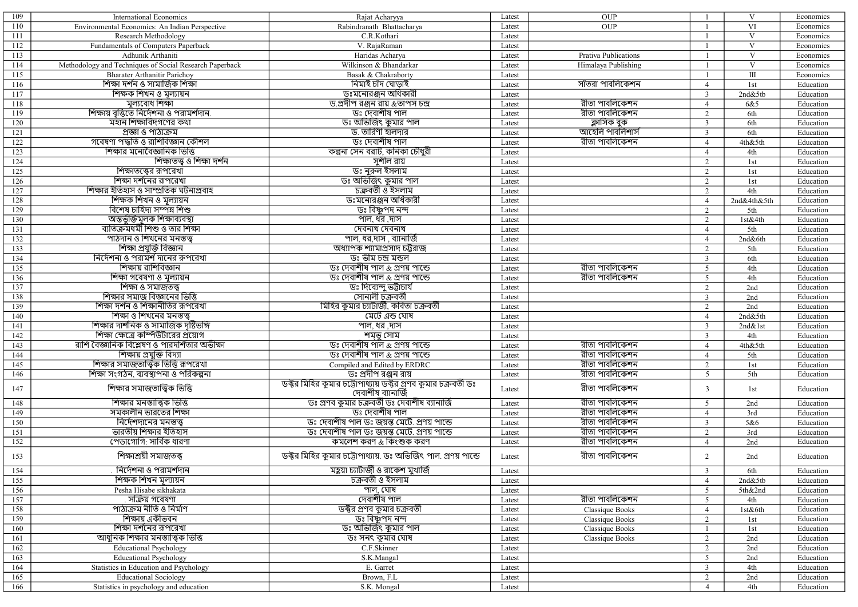| 109 | <b>International Economics</b>                          | Rajat Acharyya                                                 | Latest | OUP                   |                | V                       | Economics |
|-----|---------------------------------------------------------|----------------------------------------------------------------|--------|-----------------------|----------------|-------------------------|-----------|
| 110 | Environmental Economics: An Indian Perspective          | Rabindranath Bhattacharya                                      | Latest | <b>OUP</b>            | $\mathbf{1}$   | VI                      | Economics |
| 111 | Research Methodology                                    | C.R.Kothari                                                    | Latest |                       | $\overline{1}$ | V                       | Economics |
| 112 | Fundamentals of Computers Paperback                     | V. RajaRaman                                                   | Latest |                       |                | $\overline{\mathbf{V}}$ | Economics |
| 113 | Adhunik Arthaniti                                       | Haridas Acharya                                                | Latest | Prativa Publications  |                | V                       | Economics |
| 114 | Methodology and Techniques of Social Research Paperback | Wilkinson & Bhandarkar                                         | Latest | Himalaya Publishing   | $\mathbf{1}$   | $\mathbf V$             | Economics |
| 115 | <b>Bharater Arthanitir Parichov</b>                     | Basak & Chakrabortv                                            | Latest |                       | $\mathbf{1}$   | $\rm III$               | Economics |
|     | শিক্ষা দৰ্শন ও সামাজিক শিক্ষা                           | নিমাই চাঁদ ঘোডাই                                               |        | সাঁতরা পাবলিকেশন      | $\overline{4}$ |                         |           |
| 116 |                                                         |                                                                | Latest |                       |                | 1st                     | Education |
| 117 | শিক্ষক শিখন ও মূল্যায়ন                                 | <u>ডঃমনোরঞ্জন অধিকারী</u>                                      | Latest |                       | $\overline{3}$ | 2nd&5tb                 | Education |
| 118 | মল্যবোধ শিক্ষা                                          | <u>ড.প্রদীপ রঞ্জন রায় &amp;তাপস চন্দ্র</u>                    | Latest | <u>রীতা পাবলিকেশন</u> | $\overline{4}$ | 6&5                     | Education |
| 119 | শিক্ষায় বৃত্তিতে নির্দেশনা ও পরামর্শদান.               | <u>ডঃ দেবাশীষ পাল</u>                                          | Latest | <u>রীতা পাবলিকেশন</u> | 2              | 6th                     | Education |
| 120 | মহান শিক্ষাবিদগণের কথা                                  | ডঃ অভিজিৎ কুমার পাল                                            | Latest | ক্লাসিক বুক           | $\overline{3}$ | 6th                     | Education |
| 121 | প্ৰজ্ঞা ও পাঠ্যক্ৰম                                     | ড  তারিণী হালদার                                               | Latest | আহেলি পাবলিশার্স      | $\overline{3}$ | 6th                     | Education |
| 122 | গবেষণা পদ্ধতি ও রাশিবিজ্ঞান কৌশল                        | <u>ডঃ দেবাশীষ পাল</u>                                          | Latest | <u>রীতা পাবলিকেশন</u> | $\overline{4}$ | 4th&5th                 | Education |
| 123 | শিক্ষার মনোবৈজ্ঞানিক ভিত্তি                             | কল্পনা সেন বরাট, কনিকা চৌধুরী                                  | Latest |                       | $\overline{4}$ | 4th                     | Education |
| 124 | শিক্ষাতত্ত্ব ও শিক্ষা দর্শন                             | সুশীল রায়                                                     | Latest |                       | 2              | 1st                     | Education |
| 125 | শিক্ষাতত্ত্বের রূপরেখা                                  | ডঃ নুরুল ইসলাম                                                 | Latest |                       | 2              | 1st                     | Education |
| 126 | শিক্ষা দর্শনের রূপরেখা                                  | ডঃ অভিজিৎ কুমার পাল                                            | Latest |                       | 2              | 1st                     | Education |
| 127 | শিক্ষার ইতিহাস ও সাম্প্রতিক ঘটনাপ্রবাহ                  | চক্ৰবৰ্তী ও ইসলাম                                              | Latest |                       | 2              | 4th                     | Education |
| 128 | শিক্ষক শিখন ও মল্যায়ন                                  | <u>ডঃমনোরঞ্জন অধিকারী</u>                                      | Latest |                       | $\overline{4}$ | 2nd&4th&5th             | Education |
| 129 | <u>বিশেষ চাহিদা সম্পন্ন শিশু</u>                        | <u>ডঃ বিষ্ণুপদ নন্দ</u>                                        | Latest |                       | 2              | 5th                     | Education |
| 130 | অন্তৰ্ভুক্তিমূলক শিক্ষাব্যবস্থা                         | পাল, ধর ,দাস                                                   | Latest |                       | 2              | 1st&4th                 | Education |
| 131 | ব্যতিক্রমধর্মী শিশু ও তার শিক্ষা                        | দেবনাথ দেবনাথ                                                  | Latest |                       | $\overline{4}$ | 5th                     | Education |
| 132 | পাঠদান ও শিখনের মনস্তত্ত্ব                              | পাল, ধর,দাস , ব্যানার্জি                                       | Latest |                       | $\overline{4}$ | 2nd&6th                 | Education |
| 133 | শিক্ষা প্ৰযুক্তি বিজ্ঞান                                | অধ্যাপক শ্যামাপ্ৰসাদ চট্টরাজ                                   | Latest |                       | 2              | 5th                     | Education |
|     | নির্দেশনা ও পরামর্শ দানের রুপরেখা                       | <u>ডঃ ভীম চন্দ্ৰ মন্ডল</u>                                     |        |                       |                |                         |           |
| 134 | শিক্ষায় রাশিবিজ্ঞান                                    |                                                                | Latest |                       | $\overline{3}$ | 6th                     | Education |
| 135 |                                                         | <u>ডঃ দেবাশীষ পাল &amp; প্ৰণয় পাল্ডে</u>                      | Latest | রীতা পাবলিকেশন        | 5              | 4th                     | Education |
| 136 | শিক্ষা গবেষণা ও মূল্যায়ন                               | ডঃ দেবাশীষ পাল <i>&amp;</i> প্ৰণয় পাল্ডে                      | Latest | রীতা পাবলিকেশন        | 5              | 4th                     | Education |
| 137 | শিক্ষা ও সমাজতত্ত্ব                                     | ডঃ দিব্যেন্দু ভট্টাচাৰ্য                                       | Latest |                       | $\overline{2}$ | 2nd                     | Education |
| 138 | শিক্ষার সমাজ বিজ্ঞানের ভিত্তি                           | সোনালী চক্ৰবৰ্তী                                               | Latest |                       | $\overline{3}$ | 2nd                     | Education |
| 139 | শিক্ষা দর্শন ও শিক্ষানীতির রূপরেখা                      | মিহির কুমার চ্যাটার্জী, কবিতা চক্রবর্তী                        | Latest |                       | 2              | 2nd                     | Education |
| 140 | শিক্ষা ও শিখনের মনস্তত্ত্ব                              | মেটে এন্ড ঘোষ                                                  | Latest |                       | $\overline{4}$ | 2nd&5th                 | Education |
| 141 | শিক্ষার দার্শনিক ও সামাজিক দৃষ্টিভঙ্গি                  | পাল, ধর ,দাস                                                   | Latest |                       | $\overline{3}$ | 2nd&1st                 | Education |
| 142 | শিক্ষা ক্ষেত্রে কম্পিউটারের প্রয়োগ                     | শমৃভু সোম                                                      | Latest |                       | $\overline{3}$ | 4th                     | Education |
| 143 | রাশি বৈজ্ঞানিক বিশ্লেষণ ও পারদর্শিতার অভীক্ষা           | <u>ডঃ দেবাশীষ পাল &amp; প্ৰণয় পাল্ডে</u>                      | Latest | <u>রীতা পাবলিকেশন</u> | $\overline{4}$ | 4th&5th                 | Education |
| 144 | শিক্ষায় প্রযুক্তি বিদ্যা                               | ডঃ দেবাশীষ পাল <i>&amp;</i> প্ৰণয় পাল্ডে                      | Latest | <u>রীতা পাবলিকেশন</u> | $\overline{4}$ | 5th                     | Education |
| 145 | শিক্ষার সমাজতাত্ত্বিক ভিত্তি রূপরেখা                    | Compiled and Edited by ERDRC                                   | Latest | রীতা পাবলিকেশন        | 2              | 1st                     | Education |
| 146 | শিক্ষা সংগঠন, ব্যবস্থাপনা ও পরিকল্পনা                   | <u>ডঃ প্রদীপ রঞ্জন রায়</u>                                    | Latest | রীতা পাবলিকেশন        | 5              | 5th                     | Education |
| 147 | শিক্ষার সমাজতাত্ত্বিক ভিত্তি                            | ডক্টর মিহির কুমার চট্টোপাধ্যায় ডক্টর প্রণব কুমার চক্রবর্তী ডঃ |        | রীতা পাবলিকেশন        | $\overline{3}$ | 1st                     | Education |
|     |                                                         | দেবাশীষ ব্যানাৰ্জি                                             | Latest |                       |                |                         |           |
| 148 | শিক্ষার মনস্তাত্ত্বিক ভিত্তি                            | <u>ডঃ প্ৰণব কুমার চক্ৰবৰ্তী ডঃ দেবাশীষ ব্যানাৰ্জি</u>          | Latest | রীতা পাবলিকেশন        | 5              | 2nd                     | Education |
| 149 | সমকালীন ভারতের শিক্ষা                                   | <u>ডঃ দেবাশীষ পাল</u>                                          | Latest | <u>রীতা পাবলিকেশন</u> | $\overline{4}$ | 3rd                     | Education |
| 150 | নিৰ্দেশদানের মনস্তত্ত্ব                                 | ডঃ দেবাশীষ পাল ডঃ জয়ন্ত মেটে. প্ৰণয় পাল্ডে                   | Latest | রীতা পাবলিকেশন        | $\overline{3}$ | 5&6                     | Education |
| 151 | ভারতীয় শিক্ষার ইতিহাস                                  | ডঃ দেবাশীষ পাল ডঃ জয়ন্ত মেটে. প্ৰণয় পাল্ডে                   | Latest | রীতা পাবলিকেশন        | 2              | 3rd                     | Education |
| 152 | পেডাগোগি: সার্বিক ধারণা                                 | কমলেশ করণ <i>&amp;</i> কিংশুক করণ                              | Latest | রীতা পাবলিকেশন        | $\overline{4}$ | 2nd                     | Education |
| 153 | শিক্ষাশ্রয়ী সমাজতত্ত্ব                                 | ডক্টর মিহির কুমার চট্টোপাধ্যায়. ডঃ অভিজিৎ পাল. প্রণয় পাল্ডে  | Latest | রীতা পাবলিকেশন        | $\overline{2}$ | 2nd                     | Education |
| 154 | ানদেশনা ও পরামশদান                                      | মহ্লয়া চ্যাটার্জা ও রাকেশ মুখাজি                              | Latest |                       | 3              | 6th                     | Education |
| 155 | শিক্ষক শিখন মূল্যায়ন                                   | চক্ৰবৰ্তী ও ইসলাম                                              | Latest |                       | $\overline{4}$ | 2nd&5tb                 | Education |
| 156 | Pesha Hisabe sikhakata                                  | পাল, ঘোষ                                                       | Latest |                       | 5              | 5th&2nd                 | Education |
| 157 | ়সক্ৰিয় গবেষণা                                         | দেবাশীষ পাল                                                    | Latest | রীতা পাবলিকেশন        | 5              | 4th                     | Education |
| 158 | পাঠ্যক্ৰম নীতি ও নিৰ্মাণ                                | ডক্টর প্রণব কুমার চক্রবর্তী                                    | Latest | Classique Books       | $\overline{4}$ | 1st&6th                 | Education |
| 159 | শিক্ষায় একীভবন                                         | ডঃ বিষ্ণুপদ <b>ন</b> ন্দ                                       | Latest | Classique Books       | 2              | 1st                     | Education |
|     | শিক্ষা দর্শনের রূপরেখা                                  | ডঃ অভিজিৎ কুমার পাল                                            |        |                       |                |                         | Education |
| 160 |                                                         |                                                                | Latest | Classique Books       |                | 1st                     |           |
| 161 | আধুনিক শিক্ষার মনস্তাত্ত্বিক ভিত্তি                     | ডঃ সনৎ কুমার ঘোষ                                               | Latest | Classique Books       | $\overline{2}$ | 2nd                     | Education |
| 162 | <b>Educational Psychology</b>                           | C.F.Skinner                                                    | Latest |                       | $\overline{2}$ | 2nd                     | Education |
| 163 | <b>Educational Psychology</b>                           | S.K.Mangal                                                     | Latest |                       | 5              | 2nd                     | Education |
| 164 | Statistics in Education and Psychology                  | E. Garret                                                      | Latest |                       | $\overline{3}$ | 4th                     | Education |
| 165 | <b>Educational Sociology</b>                            | Brown, F.L                                                     | Latest |                       | $\overline{2}$ | 2nd                     | Education |
| 166 | Statistics in psychology and education                  | S.K. Mongal                                                    | Latest |                       | $\overline{4}$ | 4th                     | Education |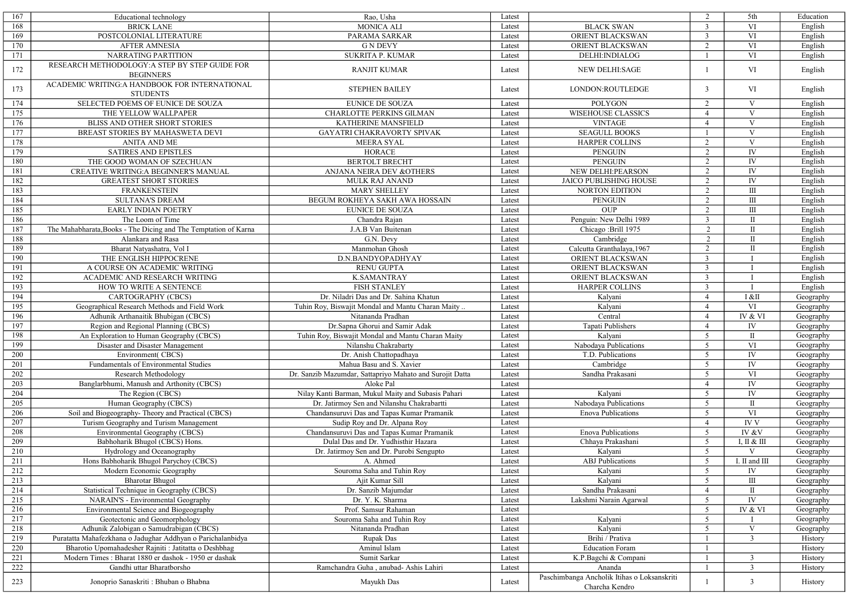| 167     | Educational technology                                             | Rao, Usha                                                | Latest |                                                               | 2              | 5th                                   | Education |
|---------|--------------------------------------------------------------------|----------------------------------------------------------|--------|---------------------------------------------------------------|----------------|---------------------------------------|-----------|
| 168     | <b>BRICK LANE</b>                                                  | <b>MONICA ALI</b>                                        | Latest | <b>BLACK SWAN</b>                                             | $\overline{3}$ | VI                                    | English   |
| 169     | POSTCOLONIAL LITERATURE                                            | PARAMA SARKAR                                            | Latest | ORIENT BLACKSWAN                                              | $\overline{3}$ | VI                                    | English   |
| 170     | <b>AFTER AMNESIA</b>                                               | <b>G N DEVY</b>                                          | Latest | ORIENT BLACKSWAN                                              | 2              | VI                                    | English   |
| 171     | <b>NARRATING PARTITION</b>                                         | <b>SUKRITA P. KUMAR</b>                                  | Latest | DELHI: INDIALOG                                               | $\mathbf{1}$   | VI                                    | English   |
| 172     | RESEARCH METHODOLOGY: A STEP BY STEP GUIDE FOR<br><b>BEGINNERS</b> | <b>RANJIT KUMAR</b>                                      | Latest | <b>NEW DELHI:SAGE</b>                                         | $\overline{1}$ | VI                                    | English   |
| 173     | ACADEMIC WRITING: A HANDBOOK FOR INTERNATIONAL<br><b>STUDENTS</b>  | <b>STEPHEN BAILEY</b>                                    | Latest | LONDON:ROUTLEDGE                                              | 3              | VI                                    | English   |
| 174     | SELECTED POEMS OF EUNICE DE SOUZA                                  | <b>EUNICE DE SOUZA</b>                                   | Latest | <b>POLYGON</b>                                                | 2              | V                                     | English   |
| 175     | THE YELLOW WALLPAPER                                               | <b>CHARLOTTE PERKINS GILMAN</b>                          | Latest | <b>WISEHOUSE CLASSICS</b>                                     | $\overline{4}$ | V                                     | English   |
| 176     | BLISS AND OTHER SHORT STORIES                                      | KATHERINE MANSFIELD                                      | Latest | <b>VINTAGE</b>                                                | $\overline{4}$ | $\mathbf V$                           | English   |
| 177     | BREAST STORIES BY MAHASWETA DEVI                                   | GAYATRI CHAKRAVORTY SPIVAK                               | Latest | <b>SEAGULL BOOKS</b>                                          | $\overline{1}$ | V                                     | English   |
| 178     | <b>ANITA AND ME</b>                                                | <b>MEERA SYAL</b>                                        | Latest | HARPER COLLINS                                                | 2              | $\overline{\mathbf{V}}$               | English   |
| 179     | <b>SATIRES AND EPISTLES</b>                                        | <b>HORACE</b>                                            | Latest | <b>PENGUIN</b>                                                | 2              | ${\rm IV}$                            | English   |
| 180     | THE GOOD WOMAN OF SZECHUAN                                         | <b>BERTOLT BRECHT</b>                                    | Latest | <b>PENGUIN</b>                                                | 2              | IV                                    | English   |
| 181     | CREATIVE WRITING: A BEGINNER'S MANUAL                              | ANJANA NEIRA DEV & OTHERS                                | Latest | NEW DELHI:PEARSON                                             | 2              | ${\rm IV}$                            | English   |
| 182     | <b>GREATEST SHORT STORIES</b>                                      | <b>MULK RAJ ANAND</b>                                    | Latest | JAICO PUBLISHING HOUSE                                        | 2              | ${\rm IV}$                            | English   |
| 183     | <b>FRANKENSTEIN</b>                                                | <b>MARY SHELLEY</b>                                      | Latest | <b>NORTON EDITION</b>                                         | 2              | Ш                                     | English   |
| 184     | <b>SULTANA'S DREAM</b>                                             | BEGUM ROKHEYA SAKH AWA HOSSAIN                           | Latest | <b>PENGUIN</b>                                                | 2              | $\rm III$                             | English   |
| 185     | <b>EARLY INDIAN POETRY</b>                                         | <b>EUNICE DE SOUZA</b>                                   | Latest | <b>OUP</b>                                                    | 2              | $\rm III$                             | English   |
| 186     | The Loom of Time                                                   | Chandra Rajan                                            | Latest | Penguin: New Delhi 1989                                       | 3              | $\rm II$                              | English   |
| 187     | The Mahabharata, Books - The Dicing and The Temptation of Karna    | J.A.B Van Buitenan                                       | Latest | Chicago: Brill 1975                                           | 2              | $\rm II$                              | English   |
| 188     | Alankara and Rasa                                                  | G.N. Devy                                                | Latest | Cambridge                                                     | 2              | $\rm II$                              | English   |
| 189     | Bharat Natyashatra, Vol I                                          | Manmohan Ghosh                                           | Latest | Calcutta Granthalaya, 1967                                    | 2              | $\mathbf{I}$                          | English   |
| 190     | THE ENGLISH HIPPOCRENE                                             | D.N.BANDYOPADHYAY                                        | Latest | ORIENT BLACKSWAN                                              | $\overline{3}$ |                                       | English   |
|         | A COURSE ON ACADEMIC WRITING                                       |                                                          |        |                                                               |                |                                       |           |
| 191     |                                                                    | <b>RENU GUPTA</b>                                        | Latest | ORIENT BLACKSWAN                                              | 3              | $\mathbf I$                           | English   |
| 192     | ACADEMIC AND RESEARCH WRITING                                      | <b>K.SAMANTRAY</b>                                       | Latest | ORIENT BLACKSWAN                                              | $\overline{3}$ |                                       | English   |
| 193     | HOW TO WRITE A SENTENCE                                            | <b>FISH STANLEY</b>                                      | Latest | <b>HARPER COLLINS</b>                                         | 3              |                                       | English   |
| 194     | CARTOGRAPHY (CBCS)                                                 | Dr. Niladri Das and Dr. Sahina Khatun                    | Latest | Kalyani                                                       | $\overline{4}$ | I &II                                 | Geography |
| 195     | Geographical Research Methods and Field Work                       | Tuhin Roy, Biswajit Mondal and Mantu Charan Maity        | Latest | Kalyani                                                       | $\overline{4}$ | VI                                    | Geography |
| 196     | Adhunik Arthanaitik Bhubigan (CBCS)                                | Nitananda Pradhan                                        | Latest | Central                                                       | $\overline{4}$ | IV & VI                               | Geography |
| 197     | Region and Regional Planning (CBCS)                                | Dr.Sapna Ghorui and Samir Adak                           | Latest | Tapati Publishers                                             | $\overline{4}$ | IV                                    | Geography |
| 198     | An Exploration to Human Geography (CBCS)                           | Tuhin Roy, Biswajit Mondal and Mantu Charan Maity        | Latest | Kalyani                                                       | 5              | $\rm II$                              | Geography |
| 199     | Disaster and Disaster Management                                   | Nilanshu Chakrabarty                                     | Latest | Nabodaya Publications                                         | 5              | VI                                    | Geography |
| 200     | Environment(CBCS)                                                  | Dr. Anish Chattopadhaya                                  | Latest | T.D. Publications                                             | 5              | ${\rm IV}$                            | Geography |
| 201     | Fundamentals of Environmental Studies                              | Mahua Basu and S. Xavier                                 | Latest | Cambridge                                                     | 5              | ${\rm IV}$                            | Geography |
| 202     | Research Methodology                                               | Dr. Sanzib Mazumdar, Sattapriyo Mahato and Surojit Datta | Latest | Sandha Prakasani                                              | 5              | VI                                    | Geography |
| 203     | Banglarbhumi, Manush and Arthonity (CBCS)                          | Aloke Pal                                                | Latest |                                                               | $\overline{4}$ | ${\rm IV}$                            | Geography |
| 204     | The Region (CBCS)                                                  | Nilay Kanti Barman, Mukul Maity and Subasis Pahari       | Latest | Kalyani                                                       | 5              | ${\rm IV}$                            | Geography |
| 205     | Human Geography (CBCS)                                             | Dr. Jatirmoy Sen and Nilanshu Chakrabartti               | Latest | Nabodaya Publications                                         | 5              | $\rm II$                              | Geography |
| 206     | Soil and Biogeography- Theory and Practical (CBCS)                 | Chandansuruvi Das and Tapas Kumar Pramanik               | Latest | <b>Enova Publications</b>                                     | 5              | VI                                    | Geography |
| 207     | Turism Geography and Turism Management                             | Sudip Roy and Dr. Alpana Roy                             | Latest |                                                               | $\overline{4}$ | $\overline{IVV}$                      | Geography |
| 208     | Environmental Geography (CBCS)                                     | Chandansuruvi Das and Tapas Kumar Pramanik               | Latest | <b>Enova Publications</b>                                     | 5              | IV &V                                 | Geography |
| 209     | Babhoharik Bhugol (CBCS) Hons.                                     | Dulal Das and Dr. Yudhisthir Hazara                      | Latest | Chhaya Prakashani                                             | 5              | I, II & III                           | Geography |
| 210     | Hydrology and Oceanography                                         | Dr. Jatirmoy Sen and Dr. Purobi Sengupto                 | Latest | Kalyani                                                       | 5              | $\mathbf{V}$                          | Geography |
| 211     | Hons Babhoharik Bhugol Parychoy (CBCS)                             | A. Ahmed                                                 | Latest | ABJ Publications                                              | 5              | I. II and III                         | Geography |
| 212     | Modern Economic Geography                                          | Souroma Saha and Tuhin Roy                               | Latest | Kalyani                                                       | 5              | IV                                    | Geography |
| 213     | <b>Bharotar Bhugol</b>                                             | Ajit Kumar Sill                                          | Latest | Kalyani                                                       | 5              | Ш                                     | Geography |
| 214     | Statistical Technique in Geography (CBCS)                          | Dr. Sanzib Majumdar                                      | Latest | Sandha Prakasani                                              | $\overline{4}$ | П                                     | Geography |
| 215     | NARAIN'S - Environmental Geography                                 | Dr. Y. K. Sharma                                         | Latest | Lakshmi Narain Agarwal                                        | 5              | IV                                    | Geography |
| 216     | Environmental Science and Biogeography                             | Prof. Samsur Rahaman                                     | Latest |                                                               | 5              | $\overline{\hbox{IV}\ \&\ \hbox{VI}}$ | Geography |
| 217     | Geotectonic and Geomorphology                                      | Souroma Saha and Tuhin Roy                               | Latest | Kalyani                                                       | 5              |                                       | Geography |
| 218     | Adhunik Zalobigan o Samudrabigan (CBCS)                            | Nitananda Pradhan                                        | Latest | Kalyani                                                       | 5              | V                                     | Geography |
| 219     | Puratatta Mahafezkhana o Jadughar Addhyan o Parichalanbidya        | Rupak Das                                                | Latest | Brihi / Prativa                                               | -1             | $\mathfrak{Z}$                        | History   |
| 220     | Bharotio Upomahadesher Rajniti : Jatitatta o Deshbhag              | Aminul Islam                                             | Latest | <b>Education Foram</b>                                        | -1             |                                       | History   |
| $221\,$ | Modern Times: Bharat 1880 er dashok - 1950 er dashak               | Sumit Sarkar                                             | Latest | K.P.Bagchi & Compani                                          | $\overline{1}$ | $\mathfrak{Z}$                        | History   |
| 222     | Gandhi uttar Bharatborsho                                          | Ramchandra Guha, anubad- Ashis Lahiri                    | Latest | Ananda                                                        |                | $\mathfrak{Z}$                        | History   |
| 223     | Jonoprio Sanaskriti : Bhuban o Bhabna                              | Mayukh Das                                               | Latest | Paschimbanga Ancholik Itihas o Loksanskriti<br>Charcha Kendro | -1             | $\mathbf{3}$                          | History   |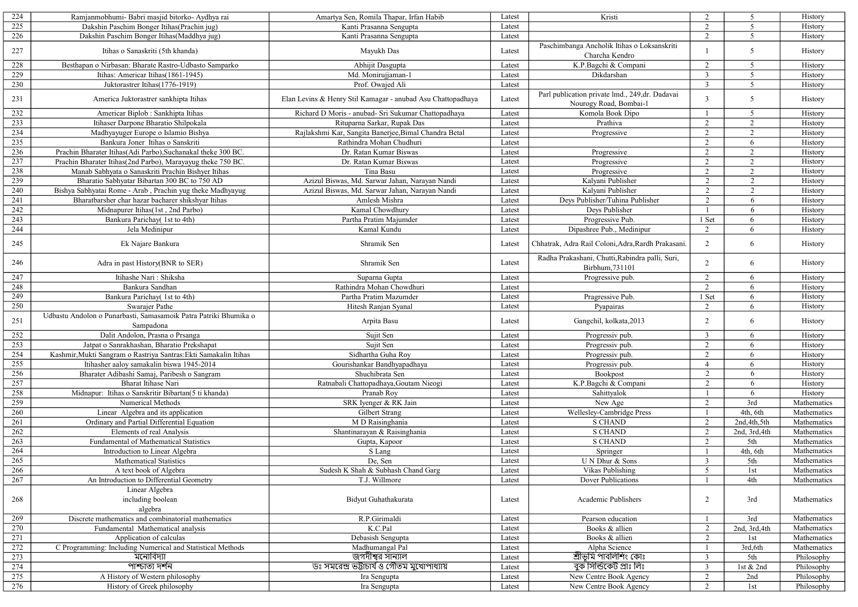| 224 | Ramjanmobhumi- Babri masjid bitorko- Aydhya rai                               | Amartya Sen, Romila Thapar, Irfan Habib                     | Latest | Kristi                                                             | 2              | 5               | History     |
|-----|-------------------------------------------------------------------------------|-------------------------------------------------------------|--------|--------------------------------------------------------------------|----------------|-----------------|-------------|
| 225 | Dakshin Paschim Bonger Itihas (Prachin jug)                                   | Kanti Prasanna Sengupta                                     | Latest |                                                                    | 2              | 5               | History     |
| 226 | Dakshin Paschim Bonger Itihas (Maddhya jug)                                   | Kanti Prasanna Sengupta                                     | Latest |                                                                    | $\overline{2}$ | 5               | History     |
| 227 | Itihas o Sanaskriti (5th khanda)                                              | Mayukh Das                                                  | Latest | Paschimbanga Ancholik Itihas o Loksanskriti<br>Charcha Kendro      |                | 5               | History     |
| 228 | Besthapan o Nirbasan: Bharate Rastro-Udbasto Samparko                         | Abhijit Dasgupta                                            | Latest | K.P.Bagchi & Compani                                               | 2              | $5\overline{)}$ | History     |
| 229 | Itihas: Americar Itihas(1861-1945)                                            | Md. Monirujjaman-1                                          | Latest | Dikdarshan                                                         | $\overline{3}$ | 5               | History     |
| 230 | Juktorastrer Itihas(1776-1919)                                                | Prof. Owajed Ali                                            | Latest |                                                                    | $\overline{3}$ | 5               | History     |
| 231 | America Juktorastrer sankhipta Itihas                                         | Elan Levins & Henry Stil Kamagar - anubad Asu Chattopadhaya | Latest | Parl publication private lmd., 249,dr. Dadavai                     | $\overline{3}$ | 5               | History     |
| 232 |                                                                               | Richard D Moris - anubad- Sri Sukumar Chattopadhaya         | Latest | Nourogy Road, Bombai-1                                             | -1             | $5\overline{)}$ |             |
|     | Americar Biplob: Sankhipta Itihas                                             |                                                             |        | Komola Book Dipo                                                   |                |                 | History     |
| 233 | Itihaser Darpone Bharatio Shilpokala                                          | Rituparna Sarkar, Rupak Das                                 | Latest | Prathiva                                                           | 2              | 2               | History     |
| 234 | Madhyayuger Europe o Islamio Bishya                                           | Rajlakshmi Kar, Sangita Banerjee, Bimal Chandra Betal       | Latest | Progressive                                                        | 2              | 2               | History     |
| 235 | Bankura Joner Itihas o Sanskriti                                              | Rathindra Mohan Chudhuri                                    | Latest |                                                                    | $\overline{2}$ | 6               | History     |
| 236 | Prachin Bharater Itihas (Adi Parbo), Suchanakal theke 300 BC.                 | Dr. Ratan Kumar Biswas                                      | Latest | Progressive                                                        | 2              | 2               | History     |
| 237 | Prachin Bharater Itihas(2nd Parbo), Marayayug theke 750 BC.                   | Dr. Ratan Kumar Biswas                                      | Latest | Progressive                                                        | 2              | $\overline{2}$  | History     |
| 238 | Manab Sabhyata o Sanaskriti Prachin Bishyer Itihas                            | Tina Basu                                                   | Latest | Progressive                                                        | 2              | 2               | History     |
| 239 | Bharatio Sabhyatar Bibartan 300 BC to 750 AD                                  | Azizul Biswas, Md. Sarwar Jahan, Narayan Nandi              | Latest | Kalyani Publisher                                                  | 2              | $\overline{2}$  | History     |
| 240 | Bishya Sabhyatai Rome - Arab, Prachin yug theke Madhyayug                     | Azizul Biswas, Md. Sarwar Jahan, Narayan Nandi              | Latest | Kalyani Publisher                                                  | $\overline{2}$ | $\overline{2}$  | History     |
| 241 | Bharatbarsher char hazar bacharer shikshyar Itihas                            | Amlesh Mishra                                               | Latest | Deys Publisher/Tuhina Publisher                                    | $\overline{2}$ | 6               | History     |
| 242 | Midnapurer Itihas(1st, 2nd Parbo)                                             | Kamal Chowdhury                                             | Latest | Deys Publisher                                                     | -1             | 6               | History     |
| 243 | Bankura Parichay( 1st to 4th)                                                 | Partha Pratim Majumder                                      | Latest | Progressive Pub.                                                   | 1 Set          | 6               | History     |
| 244 | Jela Medinipur                                                                | Kamal Kundu                                                 | Latest | Dipashree Pub., Medinipur                                          | $\overline{2}$ | 6               | History     |
| 245 | Ek Najare Bankura                                                             | Shramik Sen                                                 | Latest | Chhatrak, Adra Rail Coloni, Adra, Rardh Prakasani.                 | 2              | 6               | History     |
| 246 | Adra in past History(BNR to SER)                                              | Shramik Sen                                                 | Latest | Radha Prakashani, Chutti, Rabindra palli, Suri,<br>Birbhum, 731101 | $\overline{2}$ | 6               | History     |
| 247 | Itihashe Nari: Shiksha                                                        | Suparna Gupta                                               | Latest | Progressive pub.                                                   | $\overline{2}$ | 6               | History     |
| 248 | Bankura Sandhan                                                               | Rathindra Mohan Chowdhuri                                   | Latest |                                                                    | 2              | 6               | History     |
| 249 | Bankura Parichay(1st to 4th)                                                  | Partha Pratim Mazumder                                      | Latest | Pragressive Pub.                                                   | 1 Set          | 6               | History     |
| 250 | Swarajer Pathe                                                                | Hitesh Ranjan Syanal                                        | Latest | Pyapairas                                                          | 2              | 6               | History     |
| 251 | Udbastu Andolon o Punarbasti, Samasamoik Patra Patriki Bhumika o<br>Sampadona | Arpita Basu                                                 | Latest | Gangchil, kolkata, 2013                                            | $\overline{2}$ | 6               | History     |
| 252 | Dalit Andolon, Prasna o Prsanga                                               | Sujit Sen                                                   | Latest | Progressiv pub.                                                    | $\overline{3}$ | 6               | History     |
| 253 | Jatpat o Sanrakhashan, Bharatio Prekshapat                                    | Sujit Sen                                                   | Latest | Progressiv pub.                                                    | $\overline{2}$ | 6               | History     |
| 254 | Kashmir, Mukti Sangram o Rastriya Santras: Ekti Samakalin Itihas              | Sidhartha Guha Roy                                          | Latest | Progressiv pub.                                                    | $\overline{2}$ | 6               | History     |
| 255 | Itihasher aaloy samakalin biswa 1945-2014                                     | Gourishankar Bandhyapadhaya                                 | Latest | Progressiv pub.                                                    | $\overline{4}$ | 6               | History     |
| 256 | Bharater Adibashi Samaj, Paribesh o Sangram                                   | Shuchibrata Sen                                             | Latest | Bookpost                                                           | $\overline{2}$ | 6               | History     |
| 257 | Bharat Itihase Nari                                                           |                                                             | Latest |                                                                    | 2              | 6               | History     |
|     |                                                                               | Ratnabali Chattopadhaya, Goutam Nieogi                      |        | K.P.Bagchi & Compani                                               |                |                 |             |
| 258 | Midnapur: Itihas o Sanskritir Bibartan(5 ti khanda)                           | Pranab Roy                                                  | Latest | Sahittyalok                                                        |                | 6               | History     |
| 259 | Numerical Methods                                                             | SRK Iyenger & RK Jain                                       | Latest | New Age                                                            | 2              | 3rd             | Mathematics |
| 260 | Linear Algebra and its application                                            | Gilbert Strang                                              | Latest | Wellesley-Cambridge Press                                          | $\overline{1}$ | 4th, 6th        | Mathematics |
| 261 | Ordinary and Partial Differential Equation                                    | M D Raisinghania                                            | Latest | <b>S CHAND</b>                                                     | 2              | 2nd, 4th, 5th   | Mathematics |
| 262 | Elements of real Analysis                                                     | Shantinarayan & Raisinghania                                | Latest | <b>S CHAND</b>                                                     | 2              | 2nd, 3rd, 4th   | Mathematics |
| 263 | Fundamental of Mathematical Statistics                                        | Gupta, Kapoor                                               | Latest | <b>S CHAND</b>                                                     | 2              | 5th             | Mathematics |
| 264 | Introduction to Linear Algebra                                                | S Lang                                                      | Latest | Springer                                                           |                | 4th, 6th        | Mathematics |
| 265 | Mathematical Statistics                                                       | De, Sen                                                     | Latest | U N Dhur & Sons                                                    | $\overline{3}$ | 5th             | Mathematics |
| 266 | A text book of Algebra                                                        | Sudesh K Shah & Subhash Chand Garg                          | Latest | Vikas Publishing                                                   | $\mathfrak{p}$ | 1st             | Mathematics |
| 267 | An Introduction to Differential Geometry                                      | T.J. Willmore                                               | Latest | Dover Publications                                                 | $\mathbf{1}$   | 4th             | Mathematics |
| 268 | Linear Algebra<br>including boolean                                           | Bidyut Guhathakurata                                        | Latest | Academic Publishers                                                | $\overline{2}$ | 3rd             | Mathematics |
|     | algebra                                                                       |                                                             |        |                                                                    |                |                 |             |
| 269 | Discrete mathematics and combinatorial mathematics                            | R.P.Girimaldi                                               | Latest | Pearson education                                                  |                | 3rd             | Mathematics |
| 270 | Fundamental Mathematical analysis                                             | K.C.Pal                                                     | Latest | Books & allien                                                     | 2              | 2nd, 3rd, 4th   | Mathematics |
| 271 | Application of calculas                                                       | Debasish Sengupta                                           | Latest | Books & allien                                                     | 2              | 1st             | Mathematics |
| 272 | C Programming: Including Numerical and Statistical Methods                    | Madhumangal Pal                                             | Latest | Alpha Science                                                      | -1             | 3rd, 6th        | Mathematics |
| 273 | মনোবিদ্যা                                                                     | জগদীশ্বর সান্যাল                                            | Latest | শ্ৰীভূমি পাবলিশিং কোঃ                                              | $\mathbf{3}$   | 5th             | Philosophy  |
| 274 | পাশ্চাত্য দৰ্শন                                                               | ডঃ সমরেন্দ্র ভট্টাচার্য ও গৌতম মুখোপাধ্যায়                 | Latest | বুক সিন্ডিকেট প্ৰাঃ লিঃ                                            | $\overline{3}$ | 1st & 2nd       | Philosophy  |
| 275 | A History of Western philosophy                                               | Ira Sengupta                                                | Latest | New Centre Book Agency                                             | $\overline{2}$ | 2nd             | Philosophy  |
| 276 | History of Greek philosophy                                                   | Ira Sengupta                                                | Latest | New Centre Book Agency                                             | $\overline{2}$ | 1st             | Philosophy  |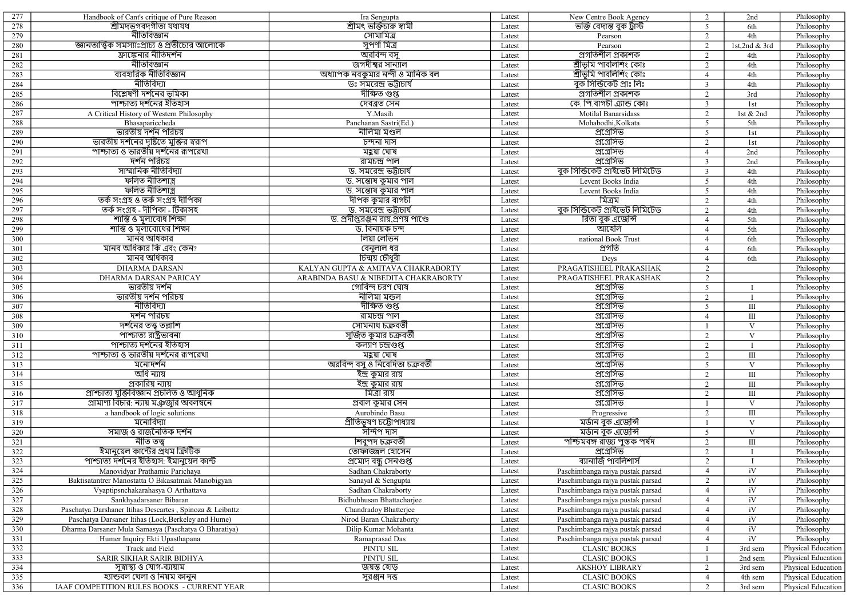| 277        | Handbook of Cant's critique of Pure Reason               | Ira Sengupta                               | Latest | New Centre Book Agency            | 2              | 2nd           | Philosophy         |
|------------|----------------------------------------------------------|--------------------------------------------|--------|-----------------------------------|----------------|---------------|--------------------|
| 278        | শ্ৰীমদভগবদগীতা যথাযথ                                     | শ্ৰীমৎ ভক্তিচাৰু স্বামী                    | Latest | ভক্তি বেদান্ত বুক ট্রাস্ট         | 5              | 6th           | Philosophy         |
| 279        | নীতিবিজ্ঞান                                              | সোমামিত্ৰ                                  | Latest | Pearson                           | 2              | 4th           | Philosophy         |
| 280        | জ্ঞানতাত্ত্বিক সমস্যাঃপ্রাচ্য ও প্রতীচ্যের আলোকে         | সুপর্ণা মিত্র                              | Latest | Pearson                           | 2              | 1st,2nd & 3rd | Philosophy         |
| 281        | ফ্রাঙ্কেনার নীতিদর্শন                                    | অরবিন্দ বসু                                | Latest | <u>প্ৰগতিশীল প্ৰকাশক</u>          | 2              | 4th           |                    |
|            | নীতিবিজ্ঞান                                              | জগদীশ্বর সান্যাল                           |        | শ্ৰীভমি পাবলিশিং কোঃ              |                |               | Philosophy         |
| 282        | ব্যবহারিক নীতিবিজ্ঞান                                    |                                            | Latest |                                   | 2              | 4th           | Philosophy         |
| 283        |                                                          | অধ্যাপক নবকুমার নন্দী ও মানিক বল           | Latest | শ্ৰীভূমি পাবলিশিং কোঃ             | $\overline{4}$ | 4th           | Philosophy         |
| 284        | নীতিবিদ্যা                                               | ডঃ সমরেন্দ্র ভট্টাচার্য                    | Latest | বুক সিন্ডিকেট প্রাঃ লিঃ           | $\overline{3}$ | 4th           | Philosophy         |
| 285        | বিশ্লেষণী দর্শনের ভূমিকা                                 | দীক্ষিত গুপ্ত                              | Latest | প্ৰগতিশীল প্ৰকাশক                 | 2              | 3rd           | Philosophy         |
| 286        | পাশ্চাত্য দর্শনের ইতিহাস                                 | দেবব্ৰত সেন                                | Latest | কে. পি.বাগচী এ্যান্ড কোঃ          | $\overline{3}$ | 1st           | Philosophy         |
| 287        | A Critical History of Western Philosophy                 | Y.Masih                                    | Latest | Motilal Banarsidass               | 2              | 1st & 2nd     | Philosophy         |
| 288        | Bhasapariccheda                                          | Panchanan Sastri(Ed.)                      | Latest | Mohabodhi, Kolkata                | 5              | 5th           | Philosophy         |
| 289        | ভারতীয় দর্শন পরিচয়                                     | নীলিমা মণ্ডল                               | Latest | প্রগ্রেসিভ                        | 5              | 1st           | Philosophy         |
| 290        | ভারতীয় দর্শনের দৃষ্টিতে মুক্তির স্বরূপ                  | চন্দনা দাস                                 | Latest | প্রগ্রেসিভ                        | 2              | 1st           | Philosophy         |
| 291        | পাশ্চাত্য ও ভারতীয় দর্শনের রূপরেখা                      | মহুয়া ঘোষ                                 | Latest | প্রগ্রেসিভ                        | $\overline{4}$ | 2nd           | Philosophy         |
| 292        | দৰ্শন পরিচয়                                             | রামচন্দ্র পাল                              | Latest | প্রগ্রেসিভ                        | $\overline{3}$ | 2nd           | Philosophy         |
| 293        | সাম্মানিক নীতিবিদ্যা                                     | <u>ড. সমরেন্দ্র ভট্টাচার্য</u>             | Latest | বুক সিন্ডিকেট প্ৰাইভেট লিমিটেড    | $\overline{3}$ | 4th           | Philosophy         |
| 294        | ফলিত নীতিশাস্ত্ৰ                                         | ড. সন্তোষ কুমার পাল                        | Latest | Levent Books India                | 5              | 4th           | Philosophy         |
| 295        | ফলিত নীতিশাস্ত্ৰ                                         | ড. সন্তোষ কুমার পাল                        | Latest | Levent Books India                | 5              | 4th           | Philosophy         |
| 296        | তৰ্ক সংগ্ৰহ ও তৰ্ক সংগ্ৰহ দীপিকা                         | দীপক কুমার বাগচী                           | Latest | মিত্ৰম                            | 2              | 4th           | Philosophy         |
| 297        | তৰ্ক সংগ্ৰহ - দীপিকা - টিকাসহ                            | <u>ড. সমরেন্দ্র ভট্টাচার্য</u>             | Latest | বুক সিন্ডিকেট প্ৰাইভেট লিমিটেড    | 2              | 4th           | Philosophy         |
| 298        | শান্তি ও মূল্যবোধ শিক্ষা                                 | ড. প্রদীপ্তরঞ্জন রায়,প্রণয় পাণ্ডে        | Latest | রিতা বুক এজেন্সি                  | $\overline{4}$ | 5th           | Philosophy         |
| 299        | শান্তি ও মূল্যবোধের শিক্ষা                               | ড. বিনায়ক চন্দ                            | Latest | আহেলি                             | $\overline{4}$ | 5th           | Philosophy         |
|            |                                                          |                                            |        |                                   |                |               |                    |
| 300        | মানব অধিকার                                              | লিয়া লেভিন                                | Latest | national Book Trust               | $\overline{4}$ | 6th           | Philosophy         |
| 301        | মানব অধিকার কি এবং কেন?                                  | $\overline{$ বেনুলাল ধর                    | Latest | প্ৰগতি                            | $\overline{4}$ | 6th           | Philosophy         |
| 302        | মানব অধিকার                                              | চিন্ময় চৌধুরী                             | Latest | Deys                              | $\overline{4}$ | 6th           | Philosophy         |
| 303        | <b>DHARMA DARSAN</b>                                     | KALYAN GUPTA & AMITAVA CHAKRABORTY         | Latest | PRAGATISHEEL PRAKASHAK            | 2              |               | Philosophy         |
| 304        | <b>DHARMA DARSAN PARICAY</b>                             | ARABINDA BASU & NIBEDITA CHAKRABORTY       | Latest | PRAGATISHEEL PRAKASHAK            | 2              |               | Philosophy         |
| 305        | ভারতীয় দর্শন                                            | গোবিন্দ চরণ ঘোষ                            | Latest | প্রগ্রেসিভ                        | 5              |               | Philosophy         |
| 306        | <u>ভারতীয় দর্শন পরিচয়</u>                              | নীলিমা মন্ডল                               | Latest | প্রগ্রেসিভ                        | 2              |               | Philosophy         |
| 307        | নীতিবিদ্যা                                               | দীক্ষিত গুপ্ত                              | Latest | প্রগ্রেসিভ                        | 5              | Ш             | Philosophy         |
| 308        | দৰ্শন পরিচয়                                             | ৱামচন্দ্ৰ পাল                              | Latest | প্রগ্রেসিভ                        | $\overline{4}$ | Ш             | Philosophy         |
| 309        | দর্শনের তত্ত্ব তল্লাশি                                   | <u>সোমনাথ চক্ৰবৰ্তী</u>                    | Latest | প্রগ্রেসিভ                        | -1             | V             | Philosophy         |
| 310        | পাশ্চাত্য রাষ্ট্রভাবনা                                   | সুজিত কুমার চক্রবর্তী                      | Latest | প্রগ্রেসিভ                        | 2              | $\mathbf{V}$  | Philosophy         |
| 311        | পাশ্চাত্য দর্শনের ইতিহাস                                 | কল্যাণ চন্দ্ৰগুপ্ত                         | Latest | প্রগ্রেসিভ                        | 2              | $\mathbf{I}$  | Philosophy         |
| 312        | সাশ্চাত্য ও ভারতীয় দর্শনের রূপরেখা                      | মহুয়া ঘোষ                                 | Latest | প্রগ্রেসিভ                        | 2              | $\rm III$     | Philosophy         |
| 313        | মনোদৰ্শন                                                 | অৱবিন্দ বসু ও নিবেদিতা চক্ৰবৰ্তী           | Latest | প্রগ্রেসিভ                        | 5              | V             | Philosophy         |
| 314        | অধি ন্যায়                                               | ইন্দ্ৰ কুমার রায়                          | Latest | প্রগ্রেসিভ                        | 2              | $\rm III$     | Philosophy         |
| 315        | প্ৰকাৱিয় ন্যায়                                         | ইন্দ্র কুমার রায়                          | Latest | প্রগ্রেসিভ                        | $\overline{2}$ | $\rm III$     | Philosophy         |
| 316        | প্ৰাশ্চাত্য যুক্তিবিজ্ঞান প্ৰচলিত ও আধুনিক               | মিত্ৰা রায়                                | Latest | প্রগ্রেসিভ                        | 2              | $\rm III$     | Philosophy         |
| 317        | প্রামাণ্য বিচার: ন্যায় মঞ্জুরি অবলম্বনে                 | প্ৰবাল কুমার সেন                           | Latest | প্রগ্রেসিভ                        | $\overline{1}$ | $\mathbf{V}$  | Philosophy         |
|            |                                                          |                                            |        |                                   | 2              | $\rm III$     |                    |
| 318<br>319 | a handbook of logic solutions<br>মনোবিদ্যা               | Aurobindo Basu<br>প্ৰীতিভূষণ চট্টোপাধ্যায় | Latest | Progressive<br>মৰ্ডান বুক এজেন্সি |                | $\mathbf V$   | Philosophy         |
|            | সমাজ ও রাজনৈতিক দর্শন                                    | সন্দিপ দাস                                 | Latest |                                   |                |               | Philosophy         |
| 320        | নীতি তত্ত্ব                                              |                                            | Latest | মৰ্ডান বুক এজেন্সি                | 5              | $\mathbf{V}$  | Philosophy         |
| 321        |                                                          | শিবুপদ চক্ৰবৰ্তী                           | Latest | পশ্চিমবঙ্গ রাজ্য পুস্তক পর্ষদ     | 2              | $\rm III$     | Philosophy         |
| 322        | ইমানুয়েল কান্টের প্রথম ক্রিটিক                          | তোফাজ্জল হোসেন                             | Latest | প্রগ্রেসিভ                        | 2              | $\bf{I}$      | Philosophy         |
| 323        | পাশ্চাত্য দর্শনের ইতিহাস: ইমানুয়েল কান্ট                | প্ৰমোদ বন্ধু সেনগুপ্ত                      | Latest | ব্যানার্জি পাবলিশার্স             | 2              | $\mathbf{I}$  | Philosophy         |
| 324        | Manovidyar Prathamic Parichaya                           | Sadhan Chakraborty                         | Latest | Paschimbanga rajya pustak parsad  | $\overline{4}$ | iV            | Philosophy         |
| 325        | Baktisatantrer Manostatta O Bikasatmak Manobigyan        | Sanayal & Sengupta                         | Latest | Paschimbanga rajya pustak parsad  | 2              | iV            | Philosophy         |
| 326        | Vyaptipsnchakarahasya O Arthattava                       | Sadhan Chakraborty                         | Latest | Paschimbanga rajya pustak parsad  | $\overline{4}$ | iV            | Philosophy         |
| 327        | Sankhyadarsaner Bibaran                                  | Bidhubhusan Bhattacharjee                  | Latest | Paschimbanga rajya pustak parsad  | $\overline{4}$ | iV            | Philosophy         |
| 328        | Paschatya Darshaner Itihas Descartes, Spinoza & Leibnttz | Chandradoy Bhatterjee                      | Latest | Paschimbanga rajya pustak parsad  | $\overline{4}$ | iV            | Philosophy         |
| 329        | Paschatya Darsaner Itihas (Lock, Berkeley and Hume)      | Nirod Baran Chakraborty                    | Latest | Paschimbanga rajya pustak parsad  | $\overline{4}$ | iV            | Philosophy         |
| 330        | Dharma Darsaner Mula Samasya (Paschatya O Bharatiya)     | Dilip Kumar Mohanta                        | Latest | Paschimbanga rajya pustak parsad  | $\overline{4}$ | iV            | Philosophy         |
| 331        | Humer Inquiry Ekti Upasthapana                           | Ramaprasad Das                             | Latest | Paschimbanga rajya pustak parsad  | $\overline{4}$ | iV            | Philosophy         |
| 332        | Track and Field                                          | PINTU SIL                                  | Latest | <b>CLASIC BOOKS</b>               |                | 3rd sem       | Physical Education |
| 333        | SARIR SIKHAR SARIR BIDHYA                                | PINTU SIL                                  | Latest | <b>CLASIC BOOKS</b>               |                | 2nd sem       | Physical Education |
| 334        | সুস্বাস্থ্য ও যোগ-ব্যায়াম                               | জয়ন্ত হোড়                                | Latest | <b>AKSHOY LIBRARY</b>             | $\overline{2}$ | 3rd sem       | Physical Education |
| 335        | হ্যান্ডবল খেলা ও নিয়ম কানুন                             | সুরঞ্জন দত্ত                               | Latest | <b>CLASIC BOOKS</b>               | $\overline{4}$ | 4th sem       | Physical Education |
| 336        | IAAF COMPETITION RULES BOOKS - CURRENT YEAR              |                                            |        | <b>CLASIC BOOKS</b>               |                |               | Physical Education |
|            |                                                          |                                            | Latest |                                   | $\overline{2}$ | 3rd sem       |                    |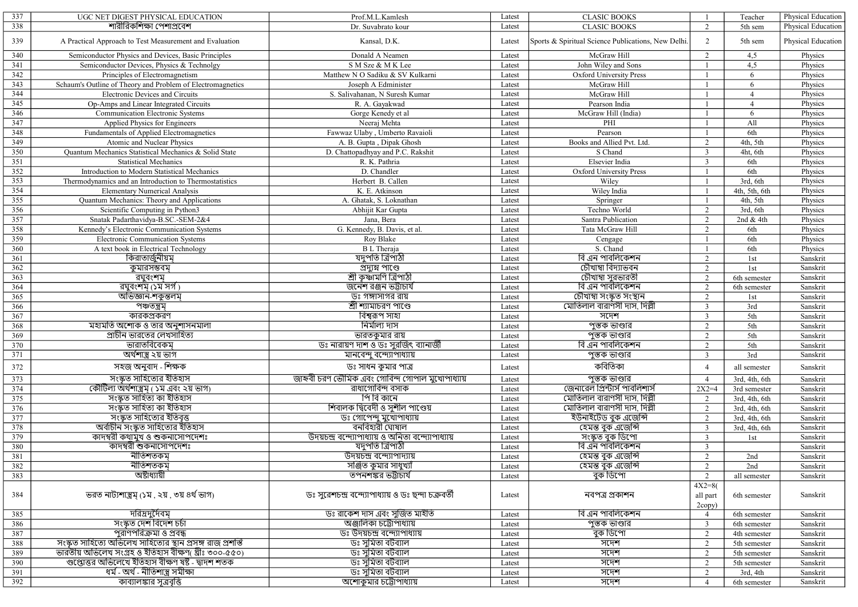| 337              | UGC NET DIGEST PHYSICAL EDUCATION                            | Prof.M.L.Kamlesh                                    | Latest | <b>CLASIC BOOKS</b>                                 |                    | Teacher        | Physical Education |
|------------------|--------------------------------------------------------------|-----------------------------------------------------|--------|-----------------------------------------------------|--------------------|----------------|--------------------|
| 338              | শারীরিকশিক্ষা পেশাপ্রবেশ                                     | Dr. Suvabrato kour                                  | Latest | <b>CLASIC BOOKS</b>                                 | 2                  | 5th sem        | Physical Education |
| 339              | A Practical Approach to Test Measurement and Evaluation      | Kansal, D.K.                                        | Latest | Sports & Spiritual Science Publications, New Delhi. | 2                  | 5th sem        | Physical Education |
| 340              | Semiconductor Physics and Devices, Basic Principles          | Donald A Neamen                                     | Latest | McGraw Hill                                         | 2                  | 4,5            | Physics            |
| 341              | Semiconductor Devices, Physics & Technolgy                   | S M Sze & M K Lee                                   | Latest | John Wiley and Sons                                 |                    | 4,5            | Physics            |
| $\overline{342}$ | Principles of Electromagnetism                               | Matthew N O Sadiku & SV Kulkarni                    | Latest | Oxford University Press                             |                    | 6              | Physics            |
| 343              | Schaum's Outline of Theory and Problem of Electromagnetics   | Joseph A Edminister                                 | Latest | McGraw Hill                                         |                    | 6              | Physics            |
| 344              | Electronic Devices and Circuits                              | S. Salivahanan, N Suresh Kumar                      | Latest | McGraw Hill                                         |                    | $\overline{4}$ | Physics            |
| 345              | Op-Amps and Linear Integrated Circuits                       | R. A. Gayakwad                                      | Latest | Pearson India                                       |                    | $\overline{4}$ | Physics            |
| 346              | Communication Electronic Systems                             | Gorge Kenedy et al                                  | Latest | McGraw Hill (India)                                 |                    | 6              | Physics            |
| 347              | Applied Physics for Engineers                                | Neeraj Mehta                                        | Latest | PHI                                                 |                    | All            | Physics            |
| 348              | Fundamentals of Applied Electromagnetics                     | Fawwaz Ulaby, Umberto Ravaioli                      | Latest | Pearson                                             |                    | 6th            | Physics            |
| 349              | Atomic and Nuclear Physics                                   | A. B. Gupta, Dipak Ghosh                            | Latest | Books and Allied Pvt. Ltd.                          | 2                  | 4th, 5th       | Physics            |
| 350              | Quantum Mechanics Statistical Mechanics & Solid State        | D. Chattopadhyay and P.C. Rakshit                   | Latest | S Chand                                             | $\overline{3}$     | 4ht, 6th       | Physics            |
| 351              | <b>Statistical Mechanics</b>                                 | R. K. Pathria                                       | Latest | Elsevier India                                      | $\overline{3}$     | 6th            | Physics            |
| 352              | Introduction to Modern Statistical Mechanics                 | D. Chandler                                         | Latest | Oxford University Press                             |                    | 6th            | Physics            |
| 353              | Thermodynamics and an Introduction to Thermostatistics       | Herbert B. Callen                                   | Latest | Wiley                                               |                    | 3rd, 6th       | Physics            |
| 354              | <b>Elementary Numerical Analysis</b>                         | K. E. Atkinson                                      | Latest | Wiley India                                         |                    | 4th, 5th, 6th  | Physics            |
| 355              | Quantum Mechanics: Theory and Applications                   | A. Ghatak, S. Loknathan                             | Latest | Springer                                            |                    | 4th, 5th       | Physics            |
| 356              | Scientific Computing in Python3                              | Abhijit Kar Gupta                                   | Latest | Techno World                                        | 2                  | 3rd, 6th       | Physics            |
| 357              | Snatak Padarthavidya-B.SC.-SEM-2&4                           | Jana, Bera                                          | Latest | Santra Publication                                  | 2                  | 2nd & 4th      | Physics            |
| 358              |                                                              |                                                     | Latest | Tata McGraw Hill                                    | 2                  | 6th            | Physics            |
|                  | Kennedy's Electronic Communication Systems                   | G. Kennedy, B. Davis, et al.<br>Roy Blake           |        |                                                     |                    |                | Physics            |
| 359<br>360       | <b>Electronic Communication Systems</b>                      |                                                     | Latest | Cengage<br>S. Chand                                 |                    | 6th            |                    |
|                  | A text book in Electrical Technology                         | <b>B</b> L Theraja<br>যদুপতি ত্রিপাঠী               | Latest | বি এন পাবলিকেশন                                     |                    | 6th            | Physics            |
| 361              | কিরাতার্জুনীয়মূ                                             |                                                     | Latest |                                                     | 2                  | 1st            | Sanskrit           |
| 362              | কুমারসম্ভবমূ                                                 | প্ৰদ্যুম্ন পাণ্ডে                                   | Latest | চৌখাম্বা বিদ্যাভবন                                  | 2                  | 1st            | Sanskrit           |
| 363              | রঘুবংশম                                                      | শ্ৰী কৃষ্ণামণি ত্ৰিপাঠী                             | Latest | চৌখাম্বা সুরভারতী                                   | 2                  | 6th semester   | Sanskrit           |
| 364              | <u>রঘুবংশমৃ (১ম সর্গ)</u>                                    | <u>জনেশ রঞ্জন ভট্টাচার্য</u>                        | Latest | <u>বি এন পারলিকেশন</u>                              | 2                  | 6th semester   | Sanskrit           |
| 365              | অভিজ্ঞান-শকুন্তলম                                            | ডঃ গঙ্গাসাগর রায়                                   | Latest | চৌখাম্বা সংস্কৃত সংস্থান                            | 2                  | 1st            | Sanskrit           |
| 366              | পঞ্চতন্ত্ৰম্                                                 | শ্ৰী শ্যামাচরণ পাণ্ডে                               | Latest | মোতিলাল বারাণসী দাস, দিল্লী                         | 3                  | 3rd            | Sanskrit           |
| 367              | কারকপ্রকরণ                                                   | বিশ্বরূপ সাহা                                       | Latest | সদেশ                                                | $\overline{3}$     | 5th            | Sanskrit           |
| 368              | মহামতি অশোক ও তার অনুশাসনমালা                                | নিৰ্মাল্য দাস                                       | Latest | পুস্তক ভাণ্ডার                                      | 2                  | 5th            | Sanskrit           |
| 369              | প্রাচীন ভারতের লেখসাহিত্য                                    | ভারতকুমার রায়                                      | Latest | <u>পুস্তক ভাণ্ডার</u>                               | 2                  | 5th            | Sanskrit           |
| 370              | ভারাতবিবেকম                                                  | ডঃ নারায়ণ দাশ ও ডঃ সুরজিৎ ব্যানার্জী               | Latest | বি এন পাবলিকেশন                                     | $\overline{2}$     | 5th            | Sanskrit           |
| 371              | অর্থশাস্ত্র ২য় ভাগ                                          | মানবেন্দু বন্দ্যোপাধ্যায়                           | Latest | পুস্তক ভাণ্ডার                                      | 3                  | 3rd            | Sanskrit           |
| 372              | সহজ অনুবাদ - শিক্ষক                                          | ডঃ সাধন কুমার পাত্র                                 | Latest | কবিতিকা                                             | $\overline{4}$     | all semester   | Sanskrit           |
| 373              | সংস্কৃত সাহিত্যের ইতিহাস                                     | জাহ্নবী চরণ ভৌমিক এবং গোবিন্দ গোপাল মুখোপাধ্যায়    | Latest | পুস্তক ভাণ্ডার                                      | $\overline{4}$     | 3rd, 4th, 6th  | Sanskrit           |
| 374              | কৌর্টিল্য অর্থশাস্ত্রমৃ ( ১ম এবং ২য় ভাগ)                    | রাধাগোবিন্দ বসাক                                    | Latest | জেনারেল প্রিন্টার্স পাবলিশার্স                      | $2X2=4$            | 3rd semester   | Sanskrit           |
| 375              | সংস্কৃত সাহিত্য কা ইতিহাস                                    | পি বি কানে                                          | Latest | মোতিলাল বারাণসী দাস. দিল্লী                         | 2                  | 3rd, 4th, 6th  | Sanskrit           |
| 376              | সংস্কৃত সাহিত্য কা ইতিহাস                                    | শিবালক দ্বিবেদী ও সুশীল পাণ্ডেয়                    | Latest | মোতিলাল বারাণসী দাস, দিল্লী                         | 2                  | 3rd, 4th, 6th  | Sanskrit           |
| 377              | সংস্কৃত সাহিত্যের ইতিবৃত্ত                                   | ডঃ গোপেন্দু মুখোপাধ্যায়                            | Latest | ইউনাইটেড বুক এজেন্সি                                | 2                  | 3rd, 4th, 6th  | Sanskrit           |
| 378              | অৰ্বাচীন সংস্কৃত সাহিত্যের ইতিহাস                            | বনবিহারী ঘোষাল                                      | Latest | হেমন্ত বুক এজেন্সি                                  | 3                  | 3rd, 4th, 6th  | Sanskrit           |
| 379              | কাদম্বরী কথামুখ ও শুকনাসোপদেশঃ                               | উদয়চন্দ্র বন্দ্যোপাধ্যায় ও অনিতা বন্দ্যোপাধ্যায়  | Latest | সংস্কৃত বুক ডিপো                                    | $\overline{3}$     | 1st            | Sanskrit           |
| 380              | কাদম্বরী শুকনাসোপদেশঃ                                        | যদুপতি ত্রিপাঠী                                     | Latest | <u>বি এন পাবলিকেশন</u>                              | 3                  |                | Sanskrit           |
| 381              | নীতিশতকম                                                     | উদয়চন্দ্ৰ বন্দ্যোপাদ্যায়                          | Latest | হেমন্ত বুক এজেন্সি                                  | 2                  | 2nd            | Sanskrit           |
| 382              | নীতিশতকম্                                                    | সঞ্জিত কুমার সাধুখ্যাঁ                              | Latest | হেমন্ত বুক এজেন্সি                                  | $\mathcal{D}$      | 2nd            | Sanskrit           |
| 383              | অষ্টাধ্যায়ী                                                 | তপনশঙ্কর ভট্টাচার্য                                 | Latest | বুক ডিপো                                            | 2                  | all semester   | Sanskrit           |
|                  |                                                              |                                                     |        |                                                     | $4X2=8($           |                |                    |
| 384              | ভরত নাট্যশাস্ত্রমৃ (১ম), ২য়, ৩য় ৪র্থ ভাগ)                  | ডঃ সুরেশচন্দ্র বন্দ্যোপাধ্যায় ও ডঃ ছন্দা চক্রবর্তী | Latest | নবপত্ৰ প্ৰকাশন                                      | all part<br>2copy) | 6th semester   | Sanskrit           |
| 385              | দরিদ্রদুর্দৈবমূ                                              | ডঃ রাকেশ দাস এবং সুজিত মাইতি                        | Latest | বি এন পাবলিকেশন                                     | $\overline{4}$     | 6th semester   | Sanskrit           |
| 386              | সংস্কৃত দেশ বিদেশ চর্চা                                      | অঞ্জালিকা চট্টোপাধ্যায়                             | Latest | পুস্তক ভাণ্ডার                                      | $\overline{3}$     | 6th semester   | Sanskrit           |
| 387              | <u> পুরাণপরিক্রমা ও প্রবন্ধ</u>                              | ডঃ উদয়চন্দ্ৰ বন্দ্যোপাধ্যায়                       | Latest | বুক ডিপো                                            | 2                  | 4th semester   | Sanskrit           |
| 388              | সংস্কৃত সাহিত্যে অভিলেখ সাহিত্যের স্থান প্রসঙ্গ রাজ প্রশস্তি | ডঃ সুমিতা বটব্যাল                                   | Latest | সদেশ                                                | 2                  | 5th semester   | Sanskrit           |
| 389              | ভারতীয় অভিলেখ সংগ্রহ ও ইতিহাস বীক্ষণ( খ্রীঃ ৩০০-৫৫০)        | ডঃ সুমিতা বটব্যাল                                   | Latest | সদেশ                                                | 2                  | 5th semester   | Sanskrit           |
| 390              | গুপ্তোত্তর অভিলেখে ইতিহাস বীক্ষণ ষষ্ট - দ্বাদশ শতক           | ডঃ সুমিতা বটব্যাল                                   | Latest | সদেশ                                                | 2                  | 5th semester   | Sanskrit           |
| 391              | ধৰ্ম - অৰ্থ - নীতিশাস্ত্ৰ সমীক্ষা                            | ডঃ সুমিতা বটব্যাল                                   | Latest | সদেশ                                                | 2                  | 3rd, 4th       | Sanskrit           |
| 392              | কাব্যালঙ্কার সূত্রবৃত্তি                                     | অশোকুমার চট্টোপাধ্যায়                              | Latest | সদেশ                                                | $\overline{4}$     | 6th semester   | Sanskrit           |
|                  |                                                              |                                                     |        |                                                     |                    |                |                    |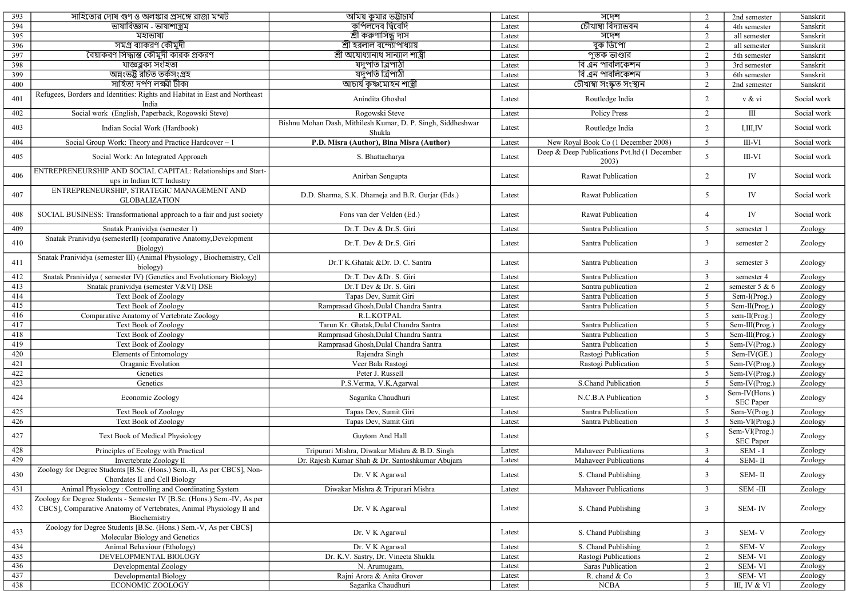| 393 | সাহিত্যের দোষ গুণ ও অলঙ্কার প্রসঙ্গে রাজা মম্মট                                                         | অমিয় কুমার ভট্টাচার্য                                                 | Latest | সদেশ                                                  | 2               | 2nd semester                              | Sanskrit    |
|-----|---------------------------------------------------------------------------------------------------------|------------------------------------------------------------------------|--------|-------------------------------------------------------|-----------------|-------------------------------------------|-------------|
| 394 | ভাষাবিজ্ঞান - ভাষাশাস্ত্ৰম                                                                              | কপিলদেব দ্বিবেদি                                                       | Latest | চৌখাম্বা বিদ্যাভবন                                    | $\overline{4}$  | 4th semester                              | Sanskrit    |
| 395 | মহাভাষ্য                                                                                                | শ্ৰী কৰুণাসিন্ধু দাস                                                   | Latest | সদেশ                                                  | 2               | all semester                              | Sanskrit    |
| 396 | সমগ্ৰ ব্যাকরণ কৌমুদী                                                                                    | শ্রী হরলাল বন্দ্যোপাধ্যায়                                             | Latest | বুক ডিপো                                              | 2               | all semester                              | Sanskrit    |
| 397 | বৈয়াকরণ সিদ্ধান্ত কৌমুদী কারক প্রকরণ                                                                   | শ্ৰী অযোধ্যানাথ সান্যাল শাস্ত্ৰী                                       | Latest | পুস্তক ভাণ্ডার                                        | 2               | 5th semester                              | Sanskrit    |
| 398 | যাজ্ঞব্লক্য সংহিতা                                                                                      | যদুপতি ত্রিপাঠী                                                        | Latest | বি এন পাবলিকেশন                                       | $\overline{3}$  | 3rd semester                              | Sanskrit    |
| 399 | অন্নংভট্ট রচিত তর্কসংগ্রহ                                                                               | যদুপতি ত্রিপাঠী                                                        | Latest | বি এন পাবলিকেশন                                       | $\overline{3}$  | 6th semester                              | Sanskrit    |
| 400 | সাহিত্য দৰ্পণ লক্ষ্মী টীকা                                                                              | <u>আচাৰ্য কৃষ্ণমোহন শাস্ত্ৰী</u>                                       | Latest | চৌখাম্বা সংস্কৃত সংস্থান                              | 2               | 2nd semester                              | Sanskrit    |
|     | Refugees, Borders and Identities: Rights and Habitat in East and Northeast                              |                                                                        |        |                                                       |                 |                                           |             |
| 401 | India                                                                                                   | Anindita Ghoshal                                                       | Latest | Routledge India                                       | 2               | v & vi                                    | Social work |
| 402 | Social work (English, Paperback, Rogowski Steve)                                                        | Rogowski Steve                                                         | Latest | <b>Policy Press</b>                                   | 2               | $\rm III$                                 | Social work |
| 403 | Indian Social Work (Hardbook)                                                                           | Bishnu Mohan Dash, Mithilesh Kumar, D. P. Singh, Siddheshwar<br>Shukla | Latest | Routledge India                                       | 2               | I, III, IV                                | Social work |
| 404 | Social Group Work: Theory and Practice Hardcover - 1                                                    | P.D. Misra (Author), Bina Misra (Author)                               | Latest | New Royal Book Co (1 December 2008)                   | 5               | III-VI                                    | Social work |
| 405 | Social Work: An Integrated Approach                                                                     | S. Bhattacharya                                                        | Latest | Deep & Deep Publications Pvt.ltd (1 December<br>2003) | 5               | III-VI                                    | Social work |
| 406 | ENTREPRENEURSHIP AND SOCIAL CAPITAL: Relationships and Start-                                           | Anirban Sengupta                                                       | Latest | Rawat Publication                                     | 2               | IV                                        | Social work |
| 407 | ups in Indian ICT Industry<br>ENTREPRENEURSHIP, STRATEGIC MANAGEMENT AND                                | D.D. Sharma, S.K. Dhameja and B.R. Gurjar (Eds.)                       | Latest | Rawat Publication                                     | 5               | IV                                        | Social work |
| 408 | <b>GLOBALIZATION</b><br>SOCIAL BUSINESS: Transformational approach to a fair and just society           | Fons van der Velden (Ed.)                                              | Latest | Rawat Publication                                     | $\overline{4}$  | IV                                        | Social work |
| 409 | Snatak Pranividya (semester 1)                                                                          | Dr.T. Dev & Dr.S. Giri                                                 | Latest | Santra Publication                                    | 5               | semester 1                                | Zoology     |
|     | Snatak Pranividya (semesterII) (comparative Anatomy, Development                                        |                                                                        |        |                                                       |                 |                                           |             |
| 410 | Biology)                                                                                                | Dr.T. Dev & Dr.S. Giri                                                 | Latest | Santra Publication                                    | $\overline{3}$  | semester 2                                | Zoology     |
| 411 | Snatak Pranividya (semester III) (Animal Physiology, Biochemistry, Cell<br>biology)                     | Dr.T K.Ghatak &Dr. D. C. Santra                                        | Latest | Santra Publication                                    | $\overline{3}$  | semester 3                                | Zoology     |
| 412 | Snatak Pranividya (semester IV) (Genetics and Evolutionary Biology)                                     | Dr.T. Dev &Dr. S. Giri                                                 | Latest | Santra Publication                                    | $\overline{3}$  | semester 4                                | Zoology     |
| 413 | Snatak pranividya (semester V&VI) DSE                                                                   | Dr.T Dev & Dr. S. Giri                                                 | Latest | Santra publication                                    | 2               | semester 5 & 6                            | Zoology     |
| 414 | <b>Text Book of Zoology</b>                                                                             | Tapas Dev, Sumit Giri                                                  | Latest | Santra Publication                                    | 5               | Sem-I(Prog.)                              | Zoology     |
| 415 | Text Book of Zoology                                                                                    | Ramprasad Ghosh, Dulal Chandra Santra                                  | Latest | Santra Publication                                    | 5               | Sem-II(Prog.)                             | Zoology     |
| 416 | Comparative Anatomy of Vertebrate Zoology                                                               | R.L.KOTPAL                                                             | Latest |                                                       | 5               | sem-II(Prog.)                             | Zoology     |
| 417 | <b>Text Book of Zoology</b>                                                                             | Tarun Kr. Ghatak, Dulal Chandra Santra                                 | Latest | Santra Publication                                    | 5               | $\overline{\text{Sem-III}}(\text{Prog.})$ | Zoology     |
| 418 | Text Book of Zoology                                                                                    | Ramprasad Ghosh, Dulal Chandra Santra                                  | Latest | Santra Publication                                    | $5\overline{)}$ | Sem-III(Prog.)                            | Zoology     |
| 419 | <b>Text Book of Zoology</b>                                                                             | Ramprasad Ghosh, Dulal Chandra Santra                                  | Latest | Santra Publication                                    | $5\overline{)}$ | Sem-IV(Prog.)                             | Zoology     |
| 420 | <b>Elements of Entomology</b>                                                                           | Rajendra Singh                                                         | Latest | Rastogi Publication                                   | 5               | Sem-IV(GE.)                               | Zoology     |
| 421 | Oraganic Evolution                                                                                      | Veer Bala Rastogi                                                      | Latest | Rastogi Publication                                   | 5               | Sem-IV(Prog.)                             | Zoology     |
| 422 | Genetics                                                                                                | Peter J. Russell                                                       | Latest |                                                       | $5\overline{)}$ | Sem-IV(Prog.)                             | Zoology     |
| 423 | Genetics                                                                                                | P.S.Verma, V.K.Agarwal                                                 | Latest | S.Chand Publication                                   | 5               | Sem-IV(Prog.)                             | Zoology     |
| 424 | Economic Zoology                                                                                        | Sagarika Chaudhuri                                                     | Latest | N.C.B.A Publication                                   | 5               | Sem-IV(Hons.)                             | Zoology     |
|     |                                                                                                         |                                                                        |        |                                                       |                 | SEC Paper                                 |             |
| 425 | <b>Text Book of Zoology</b>                                                                             | Tapas Dev, Sumit Giri                                                  | Latest | Santra Publication                                    | 5               | $Sem-V(Prog.)$                            | Zoology     |
| 426 | <b>Text Book of Zoology</b>                                                                             | Tapas Dev, Sumit Giri                                                  | Latest | Santra Publication                                    | 5               | Sem-VI(Prog.)                             | Zoology     |
| 427 | Text Book of Medical Physiology                                                                         | Guytom And Hall                                                        | Latest |                                                       | 5               | Sem-VI(Prog.)<br>SEC Paper                | Zoology     |
| 428 | Principles of Ecology with Practical                                                                    | Tripurari Mishra, Diwakar Mishra & B.D. Singh                          | Latest | Mahaveer Publications                                 | $\overline{3}$  | $SEM - I$                                 | Zoology     |
| 429 | Invertebrate Zoology II                                                                                 | Dr. Rajesh Kumar Shah & Dr. Santoshkumar Abujam                        | Latest | Mahaveer Publications                                 | $\overline{4}$  | SEM- $\rm II$                             | Zoology     |
| 430 | Zoology for Degree Students [B.Sc. (Hons.) Sem.-II, As per CBCS], Non-<br>Chordates II and Cell Biology | Dr. V K Agarwal                                                        | Latest | S. Chand Publishing                                   | $\overline{3}$  | SEM- $\Pi$                                | Zoology     |
| 431 | Animal Physiology: Controlling and Coordinating System                                                  | Diwakar Mishra & Tripurari Mishra                                      | Latest | Mahaveer Publications                                 | $\overline{3}$  | SEM-III                                   | Zoology     |
|     | Zoology for Degree Students - Semester IV [B.Sc. (Hons.) Sem.-IV, As per                                |                                                                        |        |                                                       |                 |                                           |             |
| 432 | CBCS], Comparative Anatomy of Vertebrates, Animal Physiology II and<br>Biochemistry                     | Dr. V K Agarwal                                                        | Latest | S. Chand Publishing                                   | $\overline{3}$  | SEM-IV                                    | Zoology     |
| 433 | Zoology for Degree Students [B.Sc. (Hons.) Sem.-V, As per CBCS]<br>Molecular Biology and Genetics       | Dr. V K Agarwal                                                        | Latest | S. Chand Publishing                                   | $\overline{3}$  | SEM-V                                     | Zoology     |
| 434 | Animal Behaviour (Ethology)                                                                             | Dr. V K Agarwal                                                        | Latest | S. Chand Publishing                                   | 2               | SEM-V                                     | Zoology     |
| 435 | DEVELOPMENTAL BIOLOGY                                                                                   | Dr. K.V. Sastry, Dr. Vineeta Shukla                                    | Latest | Rastogi Publications                                  | 2               | SEM-VI                                    | Zoology     |
| 436 | Developmental Zoology                                                                                   | N. Arumugam,                                                           | Latest | Saras Publication                                     | 2               | SEM-VI                                    | Zoology     |
| 437 | Developmental Biology                                                                                   | Rajni Arora & Anita Grover                                             | Latest | R. chand & Co                                         | $\overline{2}$  | SEM-VI                                    | Zoology     |
| 438 | <b>ECONOMIC ZOOLOGY</b>                                                                                 | Sagarika Chaudhuri                                                     | Latest | $\overline{\text{NCBA}}$                              | 5               | III, IV & VI                              | Zoology     |